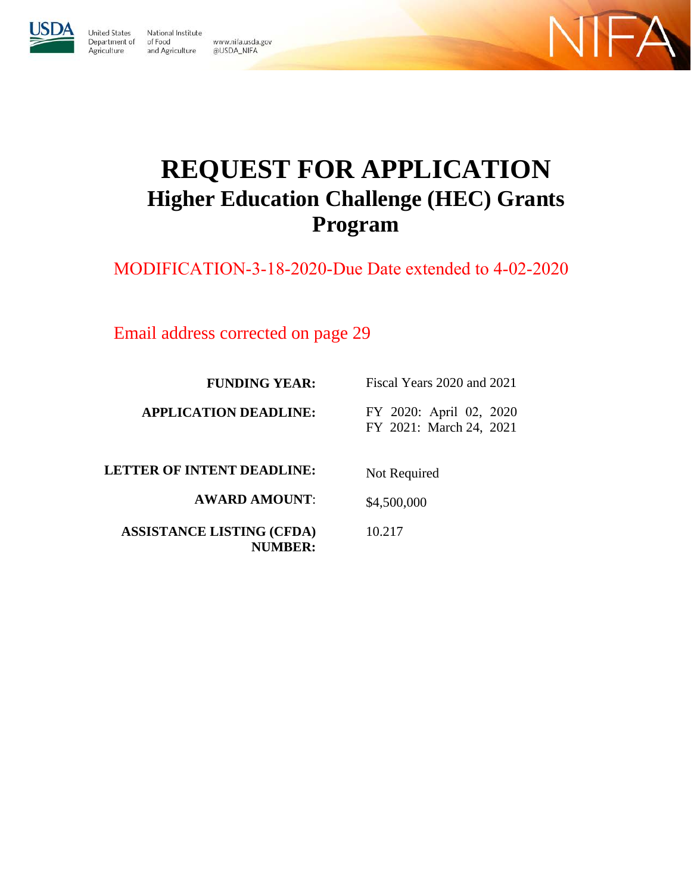

**United States** 

Agriculture

National Institute Department of of Food www.nifa.usda.gov and Agriculture @USDA\_NIFA



# **REQUEST FOR APPLICATION Higher Education Challenge (HEC) Grants Program**

MODIFICATION-3-18-2020-Due Date extended to 4-02-2020

Email address corrected on page 29

| <b>FUNDING YEAR:</b>              | Fiscal Years 2020 and 2021                         |  |
|-----------------------------------|----------------------------------------------------|--|
| <b>APPLICATION DEADLINE:</b>      | FY 2020: April 02, 2020<br>FY 2021: March 24, 2021 |  |
| <b>LETTER OF INTENT DEADLINE:</b> | Not Required                                       |  |

\$4,500,000

10.217

**AWARD AMOUNT**:

**ASSISTANCE LISTING (CFDA) NUMBER:**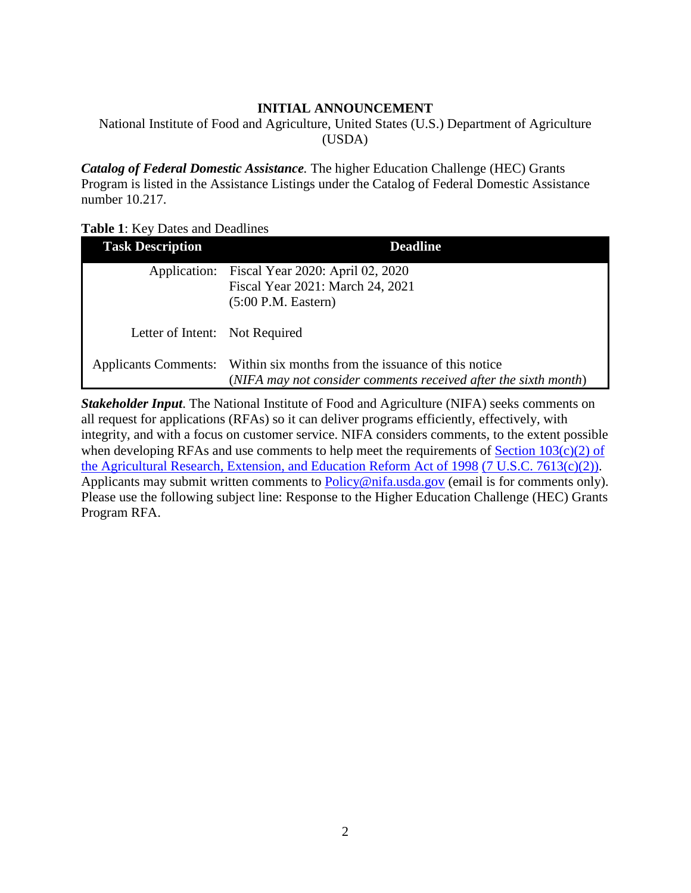## **INITIAL ANNOUNCEMENT**

<span id="page-1-0"></span>National Institute of Food and Agriculture, United States (U.S.) Department of Agriculture (USDA)

*Catalog of Federal Domestic Assistance.* The higher Education Challenge (HEC) Grants Program is listed in the Assistance Listings under the Catalog of Federal Domestic Assistance number 10.217.

<span id="page-1-1"></span>

|  |  | <b>Table 1:</b> Key Dates and Deadlines |
|--|--|-----------------------------------------|
|--|--|-----------------------------------------|

| <b>Task Description</b>        | <b>Deadline</b>                                                                                                                            |
|--------------------------------|--------------------------------------------------------------------------------------------------------------------------------------------|
|                                | Application: Fiscal Year 2020: April 02, 2020<br>Fiscal Year 2021: March 24, 2021<br>$(5:00$ P.M. Eastern)                                 |
| Letter of Intent: Not Required |                                                                                                                                            |
|                                | Applicants Comments: Within six months from the issuance of this notice<br>(NIFA may not consider comments received after the sixth month) |

*Stakeholder Input*. The National Institute of Food and Agriculture (NIFA) seeks comments on all request for applications (RFAs) so it can deliver programs efficiently, effectively, with integrity, and with a focus on customer service. NIFA considers comments, to the extent possible when developing RFAs and use comments to help meet the requirements of  $Section 103(c)(2)$  of [the Agricultural Research, Extension, and Education Reform Act of 1998](https://nifa.usda.gov/resource/agricultural-research-extension-and-education-reform-act-1998) [\(7 U.S.C. 7613\(c\)\(2\)\).](https://nifa.usda.gov/resource/agricultural-research-extension-and-education-reform-act-1998) Applicants may submit written comments to [Policy@nifa.usda.gov](mailto:Policy@nifa.usda.gov) (email is for comments only). Please use the following subject line: Response to the Higher Education Challenge (HEC) Grants Program RFA.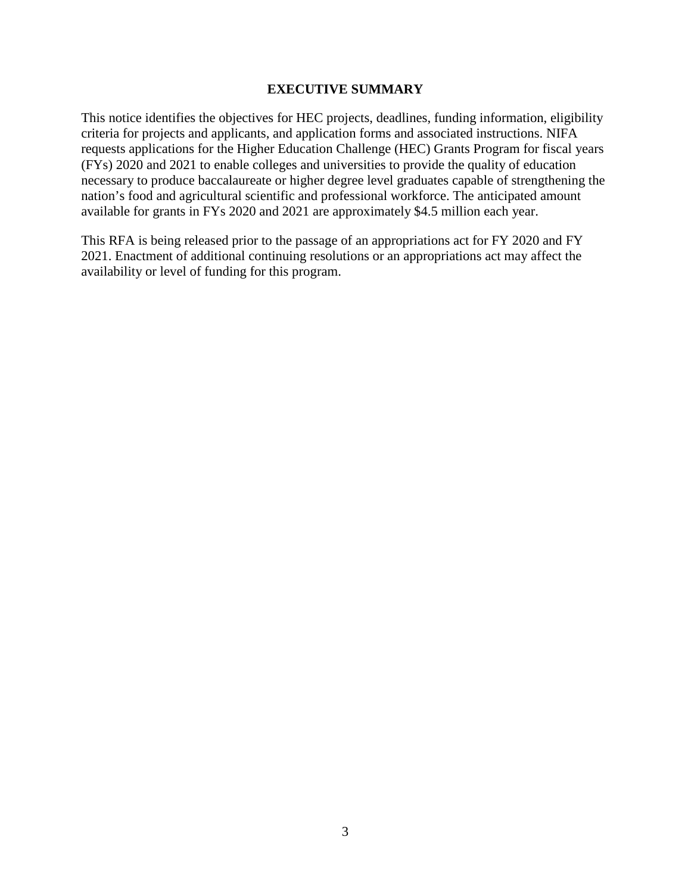#### **EXECUTIVE SUMMARY**

<span id="page-2-0"></span>This notice identifies the objectives for HEC projects, deadlines, funding information, eligibility criteria for projects and applicants, and application forms and associated instructions. NIFA requests applications for the Higher Education Challenge (HEC) Grants Program for fiscal years (FYs) 2020 and 2021 to enable colleges and universities to provide the quality of education necessary to produce baccalaureate or higher degree level graduates capable of strengthening the nation's food and agricultural scientific and professional workforce. The anticipated amount available for grants in FYs 2020 and 2021 are approximately \$4.5 million each year.

This RFA is being released prior to the passage of an appropriations act for FY 2020 and FY 2021. Enactment of additional continuing resolutions or an appropriations act may affect the availability or level of funding for this program.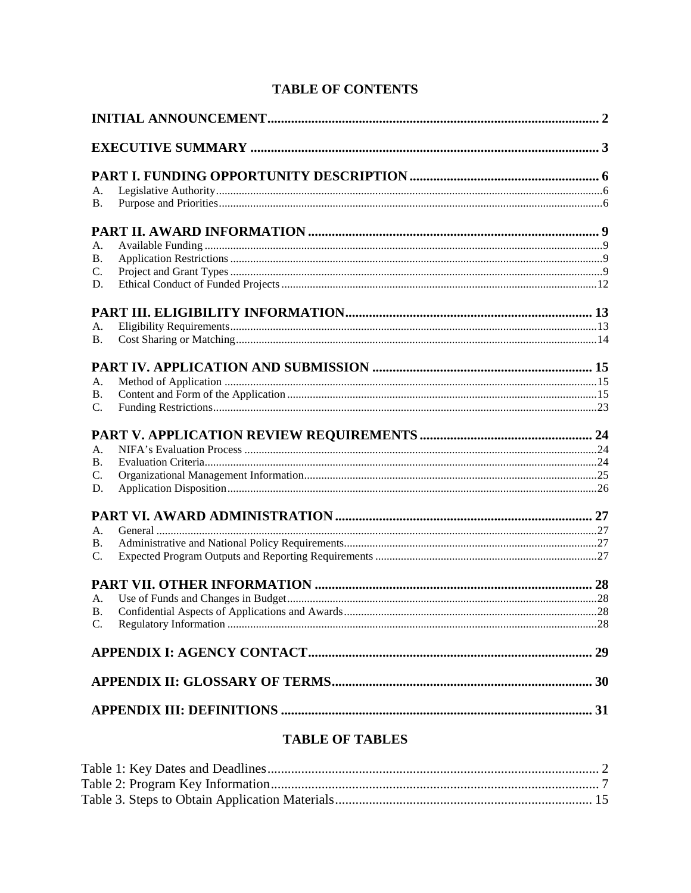# **TABLE OF CONTENTS**

| А.             |                                      |  |
|----------------|--------------------------------------|--|
| <b>B.</b>      |                                      |  |
|                |                                      |  |
| А.             |                                      |  |
| В.             |                                      |  |
| C.             |                                      |  |
| D.             |                                      |  |
|                |                                      |  |
| А.             |                                      |  |
| <b>B.</b>      |                                      |  |
|                |                                      |  |
| А.             |                                      |  |
| В.             |                                      |  |
| $C_{\cdot}$    |                                      |  |
|                |                                      |  |
| А.             |                                      |  |
| В.             |                                      |  |
| C.             |                                      |  |
| D.             |                                      |  |
|                |                                      |  |
| А.             |                                      |  |
| В.             |                                      |  |
| $\mathbf{C}$ . |                                      |  |
|                |                                      |  |
| $A_{\cdot}$    |                                      |  |
|                |                                      |  |
|                |                                      |  |
|                |                                      |  |
|                |                                      |  |
|                |                                      |  |
|                | $B \cup D$ r $D$ or $B \cup D$ r $D$ |  |

## **TABLE OF TABLES**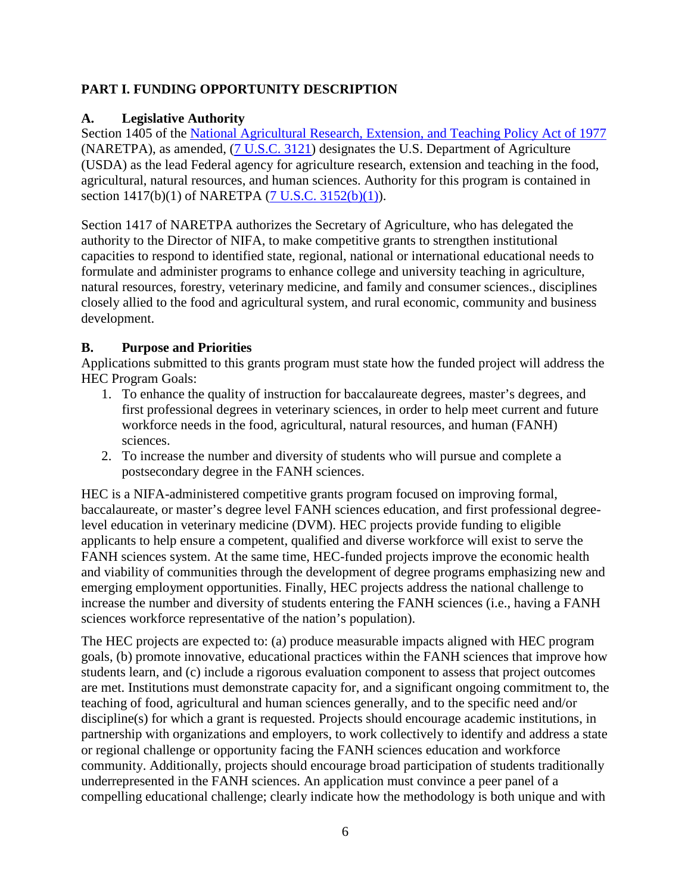# <span id="page-5-0"></span>**PART I. FUNDING OPPORTUNITY DESCRIPTION**

# <span id="page-5-1"></span>**A. Legislative Authority**

Section 1405 of the [National Agricultural Research, Extension, and Teaching Policy Act of 1977](https://nifa.usda.gov/sites/default/files/resource/nar77.pdf) (NARETPA), as amended, [\(7 U.S.C. 3121\)](https://uscode.house.gov/view.xhtml?req=(title:7%20section:3121%20edition:prelim)%20OR%20(granuleid:USC-prelim-title7-section3121)&f=treesort&edition=prelim&num=0&jumpTo=true) designates the U.S. Department of Agriculture (USDA) as the lead Federal agency for agriculture research, extension and teaching in the food, agricultural, natural resources, and human sciences. Authority for this program is contained in section 1417(b)(1) of NARETPA [\(7 U.S.C. 3152\(b\)\(1\)\)](https://uscode.house.gov/view.xhtml?req=(title:7%20section:3152%20edition:prelim)%20OR%20(granuleid:USC-prelim-title7-section3152)&f=treesort&edition=prelim&num=0&jumpTo=true).

Section 1417 of NARETPA authorizes the Secretary of Agriculture, who has delegated the authority to the Director of NIFA, to make competitive grants to strengthen institutional capacities to respond to identified state, regional, national or international educational needs to formulate and administer programs to enhance college and university teaching in agriculture, natural resources, forestry, veterinary medicine, and family and consumer sciences., disciplines closely allied to the food and agricultural system, and rural economic, community and business development.

## <span id="page-5-2"></span>**B. Purpose and Priorities**

Applications submitted to this grants program must state how the funded project will address the HEC Program Goals:

- 1. To enhance the quality of instruction for baccalaureate degrees, master's degrees, and first professional degrees in veterinary sciences, in order to help meet current and future workforce needs in the food, agricultural, natural resources, and human (FANH) sciences.
- 2. To increase the number and diversity of students who will pursue and complete a postsecondary degree in the FANH sciences.

HEC is a NIFA-administered competitive grants program focused on improving formal, baccalaureate, or master's degree level FANH sciences education, and first professional degreelevel education in veterinary medicine (DVM). HEC projects provide funding to eligible applicants to help ensure a competent, qualified and diverse workforce will exist to serve the FANH sciences system. At the same time, HEC-funded projects improve the economic health and viability of communities through the development of degree programs emphasizing new and emerging employment opportunities. Finally, HEC projects address the national challenge to increase the number and diversity of students entering the FANH sciences (i.e., having a FANH sciences workforce representative of the nation's population).

The HEC projects are expected to: (a) produce measurable impacts aligned with HEC program goals, (b) promote innovative, educational practices within the FANH sciences that improve how students learn, and (c) include a rigorous evaluation component to assess that project outcomes are met. Institutions must demonstrate capacity for, and a significant ongoing commitment to, the teaching of food, agricultural and human sciences generally, and to the specific need and/or discipline(s) for which a grant is requested. Projects should encourage academic institutions, in partnership with organizations and employers, to work collectively to identify and address a state or regional challenge or opportunity facing the FANH sciences education and workforce community. Additionally, projects should encourage broad participation of students traditionally underrepresented in the FANH sciences. An application must convince a peer panel of a compelling educational challenge; clearly indicate how the methodology is both unique and with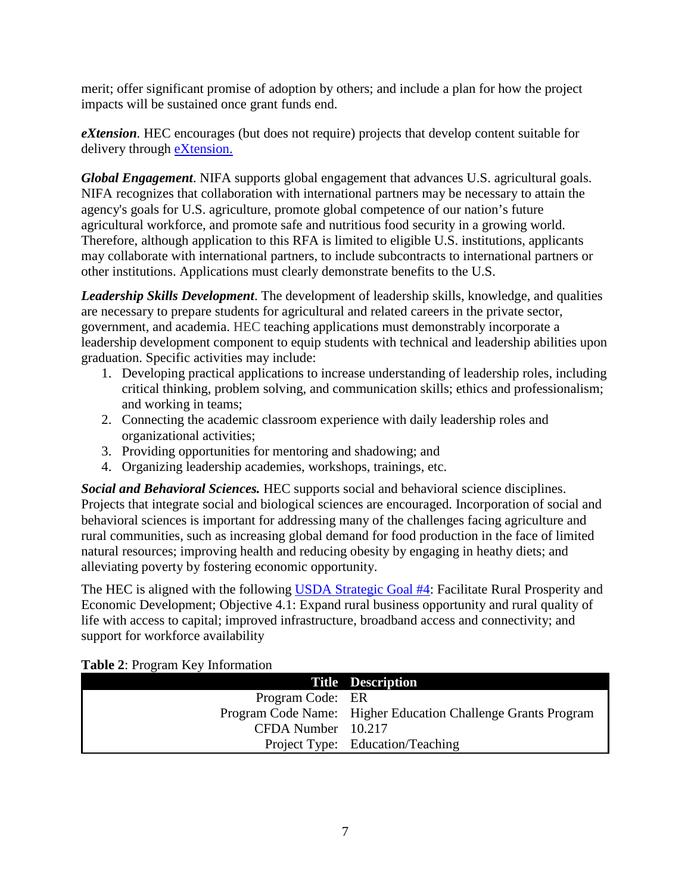merit; offer significant promise of adoption by others; and include a plan for how the project impacts will be sustained once grant funds end.

*eXtension.* HEC encourages (but does not require) projects that develop content suitable for delivery through [eXtension.](https://impact.extension.org/)

*Global Engagement*. NIFA supports global engagement that advances U.S. agricultural goals. NIFA recognizes that collaboration with international partners may be necessary to attain the agency's goals for U.S. agriculture, promote global competence of our nation's future agricultural workforce, and promote safe and nutritious food security in a growing world. Therefore, although application to this RFA is limited to eligible U.S. institutions, applicants may collaborate with international partners, to include subcontracts to international partners or other institutions. Applications must clearly demonstrate benefits to the U.S.

*Leadership Skills Development*. The development of leadership skills, knowledge, and qualities are necessary to prepare students for agricultural and related careers in the private sector, government, and academia. HEC teaching applications must demonstrably incorporate a leadership development component to equip students with technical and leadership abilities upon graduation. Specific activities may include:

- 1. Developing practical applications to increase understanding of leadership roles, including critical thinking, problem solving, and communication skills; ethics and professionalism; and working in teams;
- 2. Connecting the academic classroom experience with daily leadership roles and organizational activities;
- 3. Providing opportunities for mentoring and shadowing; and
- 4. Organizing leadership academies, workshops, trainings, etc.

*Social and Behavioral Sciences.* HEC supports social and behavioral science disciplines. Projects that integrate social and biological sciences are encouraged. Incorporation of social and behavioral sciences is important for addressing many of the challenges facing agriculture and rural communities, such as increasing global demand for food production in the face of limited natural resources; improving health and reducing obesity by engaging in heathy diets; and alleviating poverty by fostering economic opportunity.

The HEC is aligned with the following [USDA Strategic Goal](https://www.usda.gov/sites/default/files/documents/usda-strategic-plan-2018-2022.pdf) #4: Facilitate Rural Prosperity and Economic Development; Objective 4.1: Expand rural business opportunity and rural quality of life with access to capital; improved infrastructure, broadband access and connectivity; and support for workforce availability

|                    | <b>Title Description</b>                                     |
|--------------------|--------------------------------------------------------------|
| Program Code: ER   |                                                              |
|                    | Program Code Name: Higher Education Challenge Grants Program |
| CFDA Number 10.217 |                                                              |
|                    | Project Type: Education/Teaching                             |

#### <span id="page-6-0"></span>**Table 2**: Program Key Information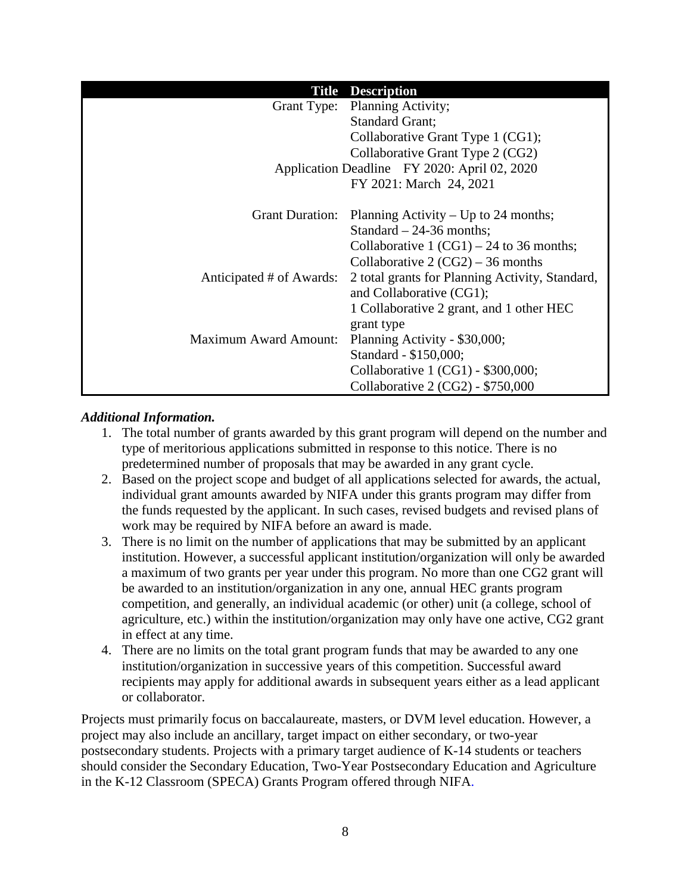|                              | <b>Title Description</b>                        |
|------------------------------|-------------------------------------------------|
|                              | Grant Type: Planning Activity;                  |
|                              | <b>Standard Grant;</b>                          |
|                              | Collaborative Grant Type 1 (CG1);               |
|                              | Collaborative Grant Type 2 (CG2)                |
|                              | Application Deadline FY 2020: April 02, 2020    |
|                              | FY 2021: March 24, 2021                         |
|                              |                                                 |
| <b>Grant Duration:</b>       | Planning Activity – Up to 24 months;            |
|                              | Standard $-24-36$ months;                       |
|                              | Collaborative 1 $(CG1) - 24$ to 36 months;      |
|                              | Collaborative $2 (CG2) – 36$ months             |
| Anticipated # of Awards:     | 2 total grants for Planning Activity, Standard, |
|                              | and Collaborative (CG1);                        |
|                              | 1 Collaborative 2 grant, and 1 other HEC        |
|                              | grant type                                      |
| <b>Maximum Award Amount:</b> | Planning Activity - \$30,000;                   |
|                              | Standard - \$150,000;                           |
|                              | Collaborative 1 (CG1) - \$300,000;              |
|                              | Collaborative 2 (CG2) - \$750,000               |

#### *Additional Information.*

- 1. The total number of grants awarded by this grant program will depend on the number and type of meritorious applications submitted in response to this notice. There is no predetermined number of proposals that may be awarded in any grant cycle.
- 2. Based on the project scope and budget of all applications selected for awards, the actual, individual grant amounts awarded by NIFA under this grants program may differ from the funds requested by the applicant. In such cases, revised budgets and revised plans of work may be required by NIFA before an award is made.
- 3. There is no limit on the number of applications that may be submitted by an applicant institution. However, a successful applicant institution/organization will only be awarded a maximum of two grants per year under this program. No more than one CG2 grant will be awarded to an institution/organization in any one, annual HEC grants program competition, and generally, an individual academic (or other) unit (a college, school of agriculture, etc.) within the institution/organization may only have one active, CG2 grant in effect at any time.
- 4. There are no limits on the total grant program funds that may be awarded to any one institution/organization in successive years of this competition. Successful award recipients may apply for additional awards in subsequent years either as a lead applicant or collaborator.

Projects must primarily focus on baccalaureate, masters, or DVM level education. However, a project may also include an ancillary, target impact on either secondary, or two-year postsecondary students. Projects with a primary target audience of K-14 students or teachers should consider the Secondary Education, Two-Year Postsecondary Education and Agriculture in the K-12 Classroom (SPECA) Grants Program offered through NIFA.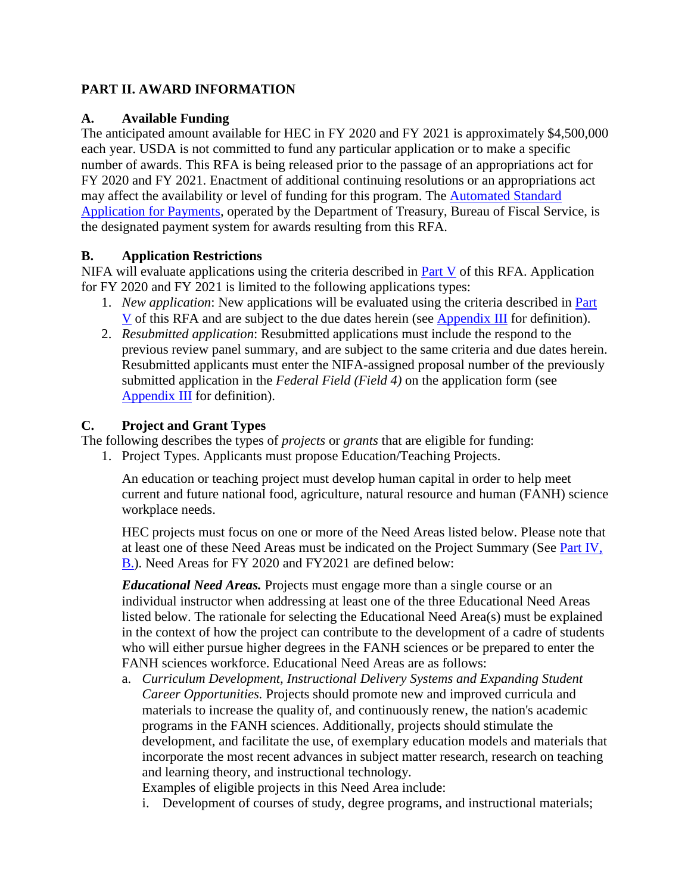## <span id="page-8-0"></span>**PART II. AWARD INFORMATION**

## <span id="page-8-1"></span>**A. Available Funding**

The anticipated amount available for HEC in FY 2020 and FY 2021 is approximately \$4,500,000 each year. USDA is not committed to fund any particular application or to make a specific number of awards. This RFA is being released prior to the passage of an appropriations act for FY 2020 and FY 2021. Enactment of additional continuing resolutions or an appropriations act may affect the availability or level of funding for this program. The [Automated Standard](https://www.fiscal.treasury.gov/fsservices/gov/pmt/asap/asap_home.htm)  [Application for Payments,](https://www.fiscal.treasury.gov/fsservices/gov/pmt/asap/asap_home.htm) operated by the Department of Treasury, Bureau of Fiscal Service, is the designated payment system for awards resulting from this RFA.

## <span id="page-8-2"></span>**B. Application Restrictions**

NIFA will evaluate applications using the criteria described in [Part V](#page-23-0) of this RFA. Application for FY 2020 and FY 2021 is limited to the following applications types:

- 1. *New application*: New applications will be evaluated using the criteria described in [Part](#page-23-0)  [V](#page-23-0) of this RFA and are subject to the due dates herein (see [Appendix III](#page-30-0) for definition).
- 2. *Resubmitted application*: Resubmitted applications must include the respond to the previous review panel summary, and are subject to the same criteria and due dates herein. Resubmitted applicants must enter the NIFA-assigned proposal number of the previously submitted application in the *Federal Field (Field 4)* on the application form (see [Appendix III](#page-30-0) for definition).

# <span id="page-8-3"></span>**C. Project and Grant Types**

The following describes the types of *projects* or *grants* that are eligible for funding:

1. Project Types. Applicants must propose Education/Teaching Projects.

An education or teaching project must develop human capital in order to help meet current and future national food, agriculture, natural resource and human (FANH) science workplace needs.

HEC projects must focus on one or more of the Need Areas listed below. Please note that at least one of these Need Areas must be indicated on the Project Summary (See [Part IV,](#page-14-2)  [B.\)](#page-14-2). Need Areas for FY 2020 and FY2021 are defined below:

*Educational Need Areas.* Projects must engage more than a single course or an individual instructor when addressing at least one of the three Educational Need Areas listed below. The rationale for selecting the Educational Need Area(s) must be explained in the context of how the project can contribute to the development of a cadre of students who will either pursue higher degrees in the FANH sciences or be prepared to enter the FANH sciences workforce. Educational Need Areas are as follows:

a. *Curriculum Development, Instructional Delivery Systems and Expanding Student Career Opportunities.* Projects should promote new and improved curricula and materials to increase the quality of, and continuously renew, the nation's academic programs in the FANH sciences. Additionally, projects should stimulate the development, and facilitate the use, of exemplary education models and materials that incorporate the most recent advances in subject matter research, research on teaching and learning theory, and instructional technology.

Examples of eligible projects in this Need Area include:

i. Development of courses of study, degree programs, and instructional materials;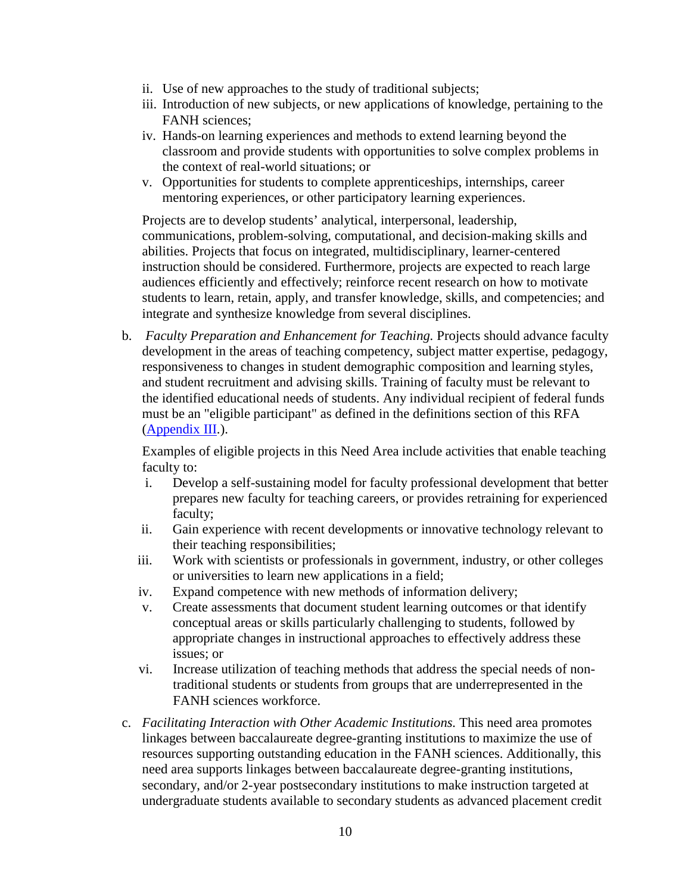- ii. Use of new approaches to the study of traditional subjects;
- iii. Introduction of new subjects, or new applications of knowledge, pertaining to the FANH sciences;
- iv. Hands-on learning experiences and methods to extend learning beyond the classroom and provide students with opportunities to solve complex problems in the context of real-world situations; or
- v. Opportunities for students to complete apprenticeships, internships, career mentoring experiences, or other participatory learning experiences.

Projects are to develop students' analytical, interpersonal, leadership, communications, problem-solving, computational, and decision-making skills and abilities. Projects that focus on integrated, multidisciplinary, learner-centered instruction should be considered. Furthermore, projects are expected to reach large audiences efficiently and effectively; reinforce recent research on how to motivate students to learn, retain, apply, and transfer knowledge, skills, and competencies; and integrate and synthesize knowledge from several disciplines.

b. *Faculty Preparation and Enhancement for Teaching.* Projects should advance faculty development in the areas of teaching competency, subject matter expertise, pedagogy, responsiveness to changes in student demographic composition and learning styles, and student recruitment and advising skills. Training of faculty must be relevant to the identified educational needs of students. Any individual recipient of federal funds must be an "eligible participant" as defined in the definitions section of this RFA  $(A$ ppendix  $III.$ ).

Examples of eligible projects in this Need Area include activities that enable teaching faculty to:

- i. Develop a self-sustaining model for faculty professional development that better prepares new faculty for teaching careers, or provides retraining for experienced faculty;
- ii. Gain experience with recent developments or innovative technology relevant to their teaching responsibilities;
- iii. Work with scientists or professionals in government, industry, or other colleges or universities to learn new applications in a field;
- iv. Expand competence with new methods of information delivery;
- v. Create assessments that document student learning outcomes or that identify conceptual areas or skills particularly challenging to students, followed by appropriate changes in instructional approaches to effectively address these issues; or
- vi. Increase utilization of teaching methods that address the special needs of nontraditional students or students from groups that are underrepresented in the FANH sciences workforce.
- c. *Facilitating Interaction with Other Academic Institutions.* This need area promotes linkages between baccalaureate degree-granting institutions to maximize the use of resources supporting outstanding education in the FANH sciences. Additionally, this need area supports linkages between baccalaureate degree-granting institutions, secondary, and/or 2-year postsecondary institutions to make instruction targeted at undergraduate students available to secondary students as advanced placement credit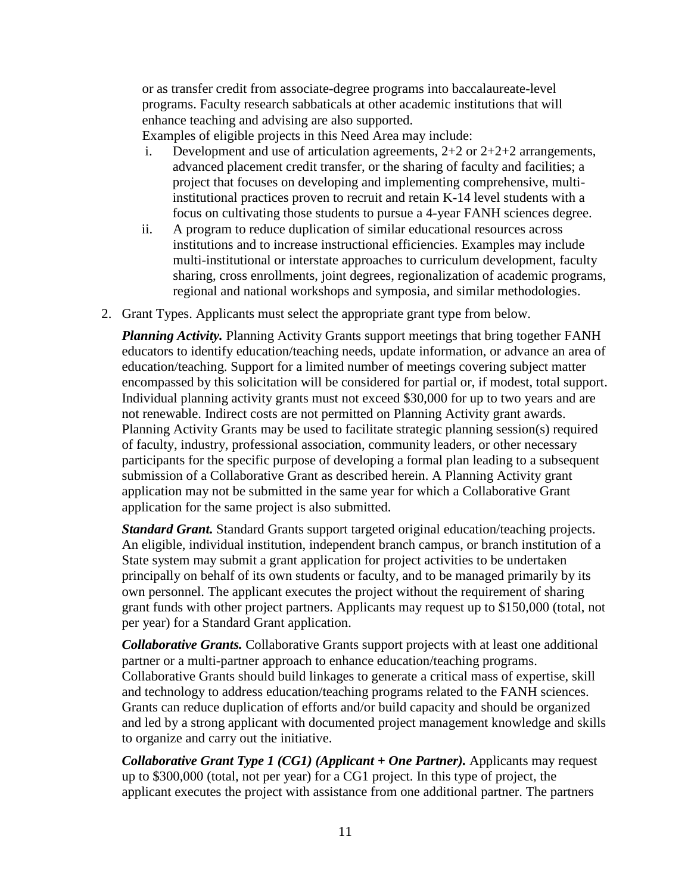or as transfer credit from associate-degree programs into baccalaureate-level programs. Faculty research sabbaticals at other academic institutions that will enhance teaching and advising are also supported.

Examples of eligible projects in this Need Area may include:

- i. Development and use of articulation agreements,  $2+2$  or  $2+2+2$  arrangements, advanced placement credit transfer, or the sharing of faculty and facilities; a project that focuses on developing and implementing comprehensive, multiinstitutional practices proven to recruit and retain K-14 level students with a focus on cultivating those students to pursue a 4-year FANH sciences degree.
- ii. A program to reduce duplication of similar educational resources across institutions and to increase instructional efficiencies. Examples may include multi-institutional or interstate approaches to curriculum development, faculty sharing, cross enrollments, joint degrees, regionalization of academic programs, regional and national workshops and symposia, and similar methodologies.
- 2. Grant Types. Applicants must select the appropriate grant type from below.

*Planning Activity.* Planning Activity Grants support meetings that bring together FANH educators to identify education/teaching needs, update information, or advance an area of education/teaching. Support for a limited number of meetings covering subject matter encompassed by this solicitation will be considered for partial or, if modest, total support. Individual planning activity grants must not exceed \$30,000 for up to two years and are not renewable. Indirect costs are not permitted on Planning Activity grant awards. Planning Activity Grants may be used to facilitate strategic planning session(s) required of faculty, industry, professional association, community leaders, or other necessary participants for the specific purpose of developing a formal plan leading to a subsequent submission of a Collaborative Grant as described herein. A Planning Activity grant application may not be submitted in the same year for which a Collaborative Grant application for the same project is also submitted.

*Standard Grant.* Standard Grants support targeted original education/teaching projects. An eligible, individual institution, independent branch campus, or branch institution of a State system may submit a grant application for project activities to be undertaken principally on behalf of its own students or faculty, and to be managed primarily by its own personnel. The applicant executes the project without the requirement of sharing grant funds with other project partners. Applicants may request up to \$150,000 (total, not per year) for a Standard Grant application.

*Collaborative Grants.* Collaborative Grants support projects with at least one additional partner or a multi-partner approach to enhance education/teaching programs. Collaborative Grants should build linkages to generate a critical mass of expertise, skill and technology to address education/teaching programs related to the FANH sciences. Grants can reduce duplication of efforts and/or build capacity and should be organized and led by a strong applicant with documented project management knowledge and skills to organize and carry out the initiative.

*Collaborative Grant Type 1 (CG1) (Applicant + One Partner).* Applicants may request up to \$300,000 (total, not per year) for a CG1 project. In this type of project, the applicant executes the project with assistance from one additional partner. The partners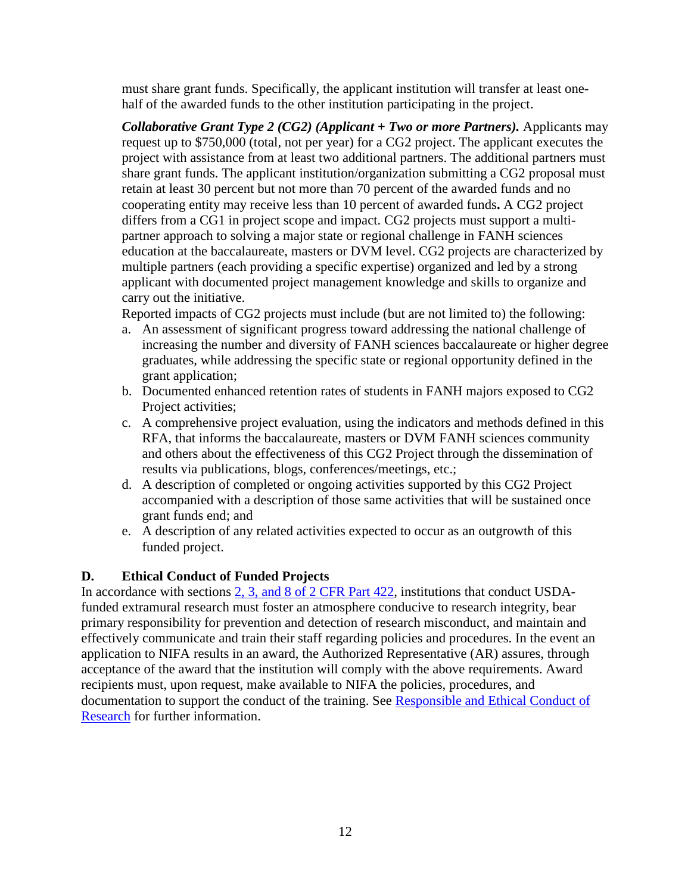must share grant funds. Specifically, the applicant institution will transfer at least onehalf of the awarded funds to the other institution participating in the project.

*Collaborative Grant Type 2 (CG2) (Applicant + Two or more Partners).* Applicants may request up to \$750,000 (total, not per year) for a CG2 project. The applicant executes the project with assistance from at least two additional partners. The additional partners must share grant funds. The applicant institution/organization submitting a CG2 proposal must retain at least 30 percent but not more than 70 percent of the awarded funds and no cooperating entity may receive less than 10 percent of awarded funds**.** A CG2 project differs from a CG1 in project scope and impact. CG2 projects must support a multipartner approach to solving a major state or regional challenge in FANH sciences education at the baccalaureate, masters or DVM level. CG2 projects are characterized by multiple partners (each providing a specific expertise) organized and led by a strong applicant with documented project management knowledge and skills to organize and carry out the initiative.

Reported impacts of CG2 projects must include (but are not limited to) the following:

- a. An assessment of significant progress toward addressing the national challenge of increasing the number and diversity of FANH sciences baccalaureate or higher degree graduates, while addressing the specific state or regional opportunity defined in the grant application;
- b. Documented enhanced retention rates of students in FANH majors exposed to CG2 Project activities;
- c. A comprehensive project evaluation, using the indicators and methods defined in this RFA, that informs the baccalaureate, masters or DVM FANH sciences community and others about the effectiveness of this CG2 Project through the dissemination of results via publications, blogs, conferences/meetings, etc.;
- d. A description of completed or ongoing activities supported by this CG2 Project accompanied with a description of those same activities that will be sustained once grant funds end; and
- e. A description of any related activities expected to occur as an outgrowth of this funded project.

## <span id="page-11-0"></span>**D. Ethical Conduct of Funded Projects**

In accordance with sections [2, 3, and 8 of 2 CFR Part 422,](https://ecfr.io/Title-02/pt2.1.422) institutions that conduct USDAfunded extramural research must foster an atmosphere conducive to research integrity, bear primary responsibility for prevention and detection of research misconduct, and maintain and effectively communicate and train their staff regarding policies and procedures. In the event an application to NIFA results in an award, the Authorized Representative (AR) assures, through acceptance of the award that the institution will comply with the above requirements. Award recipients must, upon request, make available to NIFA the policies, procedures, and documentation to support the conduct of the training. See Responsible and Ethical Conduct of [Research](https://nifa.usda.gov/responsible-and-ethical-conduct-research) for further information.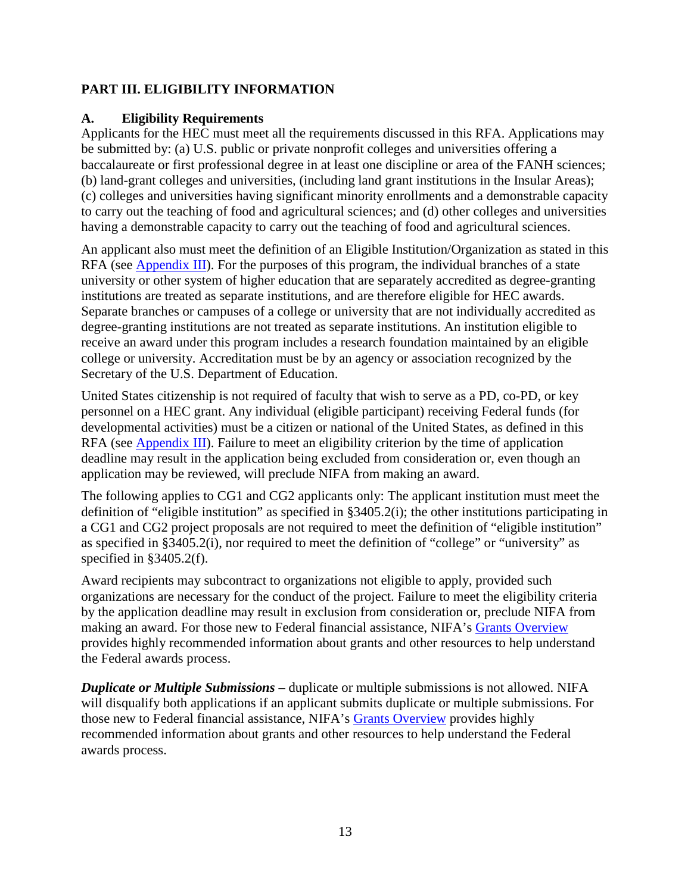## <span id="page-12-0"></span>**PART III. ELIGIBILITY INFORMATION**

## <span id="page-12-1"></span>**A. Eligibility Requirements**

Applicants for the HEC must meet all the requirements discussed in this RFA. Applications may be submitted by: (a) U.S. public or private nonprofit colleges and universities offering a baccalaureate or first professional degree in at least one discipline or area of the FANH sciences; (b) land-grant colleges and universities, (including land grant institutions in the Insular Areas); (c) colleges and universities having significant minority enrollments and a demonstrable capacity to carry out the teaching of food and agricultural sciences; and (d) other colleges and universities having a demonstrable capacity to carry out the teaching of food and agricultural sciences.

An applicant also must meet the definition of an Eligible Institution/Organization as stated in this RFA (see [Appendix III\)](#page-30-0). For the purposes of this program, the individual branches of a state university or other system of higher education that are separately accredited as degree-granting institutions are treated as separate institutions, and are therefore eligible for HEC awards. Separate branches or campuses of a college or university that are not individually accredited as degree-granting institutions are not treated as separate institutions. An institution eligible to receive an award under this program includes a research foundation maintained by an eligible college or university. Accreditation must be by an agency or association recognized by the Secretary of the U.S. Department of Education.

United States citizenship is not required of faculty that wish to serve as a PD, co-PD, or key personnel on a HEC grant. Any individual (eligible participant) receiving Federal funds (for developmental activities) must be a citizen or national of the United States, as defined in this RFA (see [Appendix III\)](#page-30-0). Failure to meet an eligibility criterion by the time of application deadline may result in the application being excluded from consideration or, even though an application may be reviewed, will preclude NIFA from making an award.

The following applies to CG1 and CG2 applicants only: The applicant institution must meet the definition of "eligible institution" as specified in §3405.2(i); the other institutions participating in a CG1 and CG2 project proposals are not required to meet the definition of "eligible institution" as specified in §3405.2(i), nor required to meet the definition of "college" or "university" as specified in §3405.2(f).

Award recipients may subcontract to organizations not eligible to apply, provided such organizations are necessary for the conduct of the project. Failure to meet the eligibility criteria by the application deadline may result in exclusion from consideration or, preclude NIFA from making an award. For those new to Federal financial assistance, NIFA's [Grants Overview](https://nifa.usda.gov/resource/grants-overview) provides highly recommended information about grants and other resources to help understand the Federal awards process.

*Duplicate or Multiple Submissions* – duplicate or multiple submissions is not allowed. NIFA will disqualify both applications if an applicant submits duplicate or multiple submissions. For those new to Federal financial assistance, NIFA's [Grants Overview](https://nifa.usda.gov/resource/grants-overview) provides highly recommended information about grants and other resources to help understand the Federal awards process.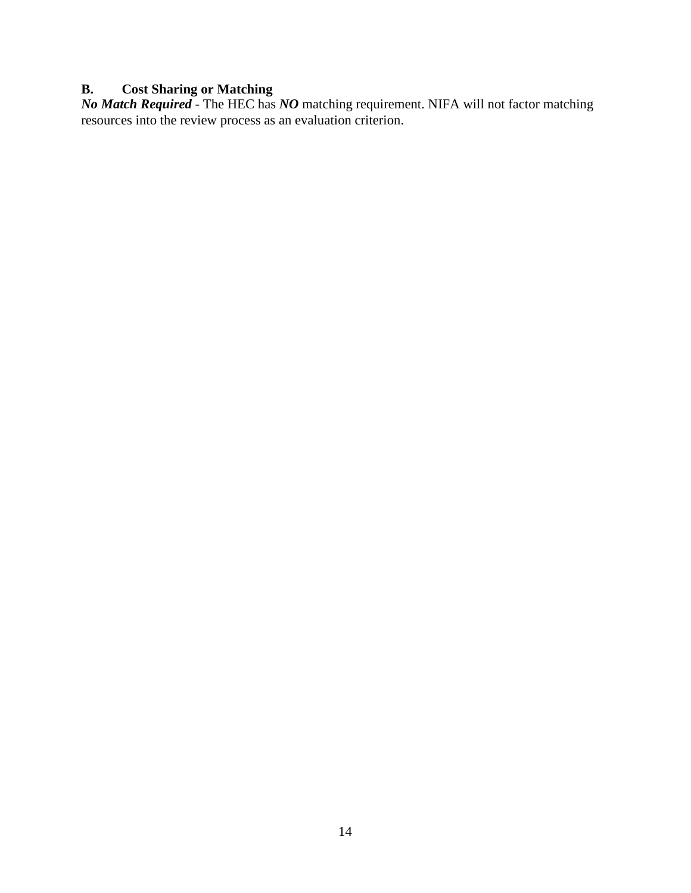## <span id="page-13-0"></span>**B. Cost Sharing or Matching**

*No Match Required* - The HEC has *NO* matching requirement. NIFA will not factor matching resources into the review process as an evaluation criterion.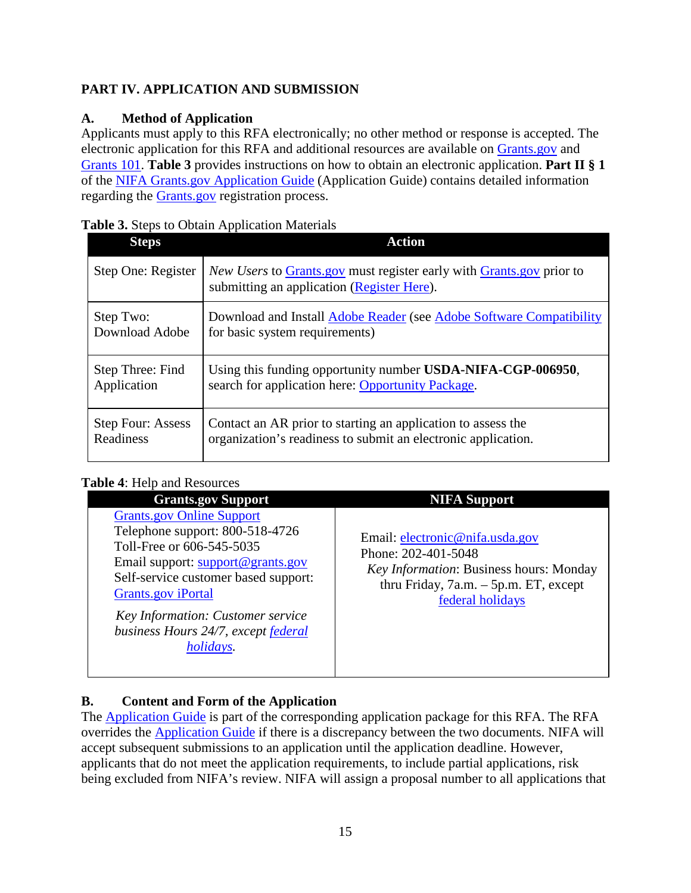# <span id="page-14-0"></span>**PART IV. APPLICATION AND SUBMISSION**

# <span id="page-14-1"></span>**A. Method of Application**

Applicants must apply to this RFA electronically; no other method or response is accepted. The electronic application for this RFA and additional resources are available on [Grants.gov](https://www.grants.gov/) and [Grants 101.](https://www.grants.gov/web/grants/learn-grants/grants-101/pre-award-phase.html/) **Table 3** provides instructions on how to obtain an electronic application. **Part II § 1** of the [NIFA Grants.gov Application Guide](https://apply07.grants.gov/apply/opportunities/instructions/PKG00249520-instructions.pdf) (Application Guide) contains detailed information regarding the [Grants.gov](https://www.grants.gov/) registration process.

<span id="page-14-3"></span>

|  |  | Table 3. Steps to Obtain Application Materials |  |
|--|--|------------------------------------------------|--|
|--|--|------------------------------------------------|--|

| <b>Steps</b>             | <b>Action</b>                                                                                                                           |
|--------------------------|-----------------------------------------------------------------------------------------------------------------------------------------|
| Step One: Register       | <i>New Users</i> to <b>Grants</b> gov must register early with <b>Grants</b> gov prior to<br>submitting an application (Register Here). |
| Step Two:                | Download and Install Adobe Reader (see Adobe Software Compatibility                                                                     |
| Download Adobe           | for basic system requirements)                                                                                                          |
| Step Three: Find         | Using this funding opportunity number USDA-NIFA-CGP-006950,                                                                             |
| Application              | search for application here: Opportunity Package.                                                                                       |
| <b>Step Four: Assess</b> | Contact an AR prior to starting an application to assess the                                                                            |
| Readiness                | organization's readiness to submit an electronic application.                                                                           |

# <span id="page-14-4"></span>Table 4: Help and Resources

| <b>Grants.gov Support</b>                                                                                                                                                                                                                                                                           | <b>NIFA Support</b>                                                                                                                                               |
|-----------------------------------------------------------------------------------------------------------------------------------------------------------------------------------------------------------------------------------------------------------------------------------------------------|-------------------------------------------------------------------------------------------------------------------------------------------------------------------|
| <b>Grants.gov Online Support</b><br>Telephone support: 800-518-4726<br>Toll-Free or 606-545-5035<br>Email support: support@grants.gov<br>Self-service customer based support:<br>Grants.gov iPortal<br>Key Information: Customer service<br>business Hours 24/7, except federal<br><i>holidays.</i> | Email: electronic@nifa.usda.gov<br>Phone: 202-401-5048<br>Key Information: Business hours: Monday<br>thru Friday, $7a.m. - 5p.m. ET$ , except<br>federal holidays |

# <span id="page-14-2"></span>**B. Content and Form of the Application**

The [Application Guide](https://apply07.grants.gov/apply/opportunities/instructions/PKG00249520-instructions.pdf) is part of the corresponding application package for this RFA. The RFA overrides the [Application Guide](https://apply07.grants.gov/apply/opportunities/instructions/PKG00249520-instructions.pdf) if there is a discrepancy between the two documents. NIFA will accept subsequent submissions to an application until the application deadline. However, applicants that do not meet the application requirements, to include partial applications, risk being excluded from NIFA's review. NIFA will assign a proposal number to all applications that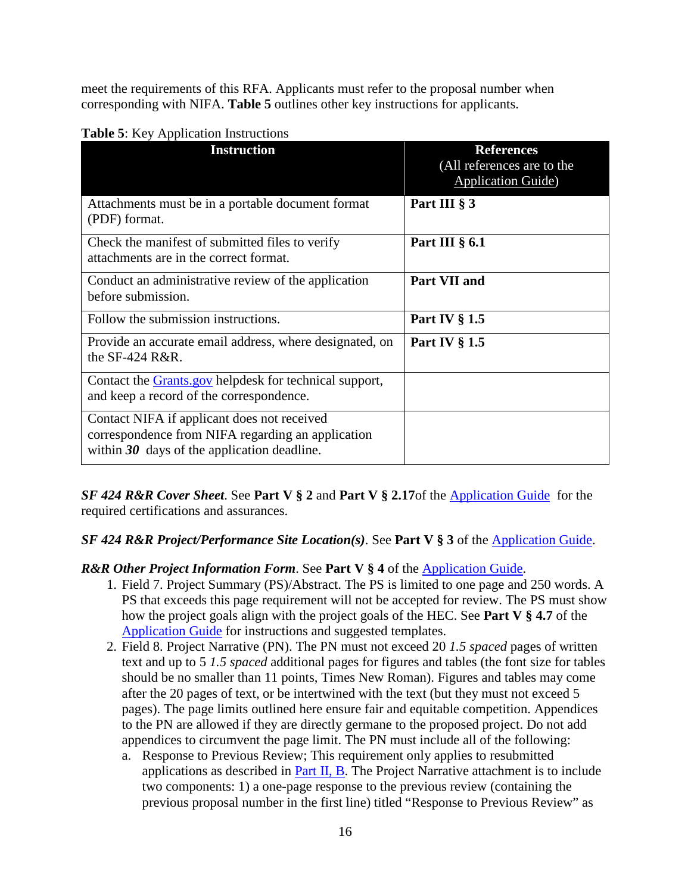meet the requirements of this RFA. Applicants must refer to the proposal number when corresponding with NIFA. **Table 5** outlines other key instructions for applicants.

| <b>Instruction</b>                                                                                                                                | <b>References</b><br>(All references are to the<br><b>Application Guide</b> ) |
|---------------------------------------------------------------------------------------------------------------------------------------------------|-------------------------------------------------------------------------------|
| Attachments must be in a portable document format<br>(PDF) format.                                                                                | Part III § 3                                                                  |
| Check the manifest of submitted files to verify<br>attachments are in the correct format.                                                         | Part III $\S$ 6.1                                                             |
| Conduct an administrative review of the application<br>before submission.                                                                         | Part VII and                                                                  |
| Follow the submission instructions.                                                                                                               | Part IV $\S 1.5$                                                              |
| Provide an accurate email address, where designated, on<br>the $SF-424$ R&R.                                                                      | Part IV $\S 1.5$                                                              |
| Contact the <b>Grants</b> gov helpdesk for technical support,<br>and keep a record of the correspondence.                                         |                                                                               |
| Contact NIFA if applicant does not received<br>correspondence from NIFA regarding an application<br>within $30$ days of the application deadline. |                                                                               |

## <span id="page-15-0"></span>**Table 5**: Key Application Instructions

*SF 424 R&R Cover Sheet*. See **Part V § 2** and **Part V § 2.17**of the [Application Guide](https://apply07.grants.gov/apply/opportunities/instructions/PKG00249520-instructions.pdf) for the required certifications and assurances.

## *SF 424 R&R Project/Performance Site Location(s)*. See **Part V § 3** of the [Application Guide.](https://apply07.grants.gov/apply/opportunities/instructions/PKG00249520-instructions.pdf)

## *R&R Other Project Information Form*. See **Part V § 4** of the [Application Guide.](https://apply07.grants.gov/apply/opportunities/instructions/PKG00249520-instructions.pdf)

- 1. Field 7. Project Summary (PS)/Abstract. The PS is limited to one page and 250 words. A PS that exceeds this page requirement will not be accepted for review. The PS must show how the project goals align with the project goals of the HEC. See **Part V § 4.7** of the [Application Guide](https://apply07.grants.gov/apply/opportunities/instructions/PKG00249520-instructions.pdf) for instructions and suggested templates.
- 2. Field 8. Project Narrative (PN). The PN must not exceed 20 *1.5 spaced* pages of written text and up to 5 *1.5 spaced* additional pages for figures and tables (the font size for tables should be no smaller than 11 points, Times New Roman). Figures and tables may come after the 20 pages of text, or be intertwined with the text (but they must not exceed 5 pages). The page limits outlined here ensure fair and equitable competition. Appendices to the PN are allowed if they are directly germane to the proposed project. Do not add appendices to circumvent the page limit. The PN must include all of the following:
	- a. Response to Previous Review; This requirement only applies to resubmitted applications as described in Part  $II$ ,  $B$ . The Project Narrative attachment is to include two components: 1) a one-page response to the previous review (containing the previous proposal number in the first line) titled "Response to Previous Review" as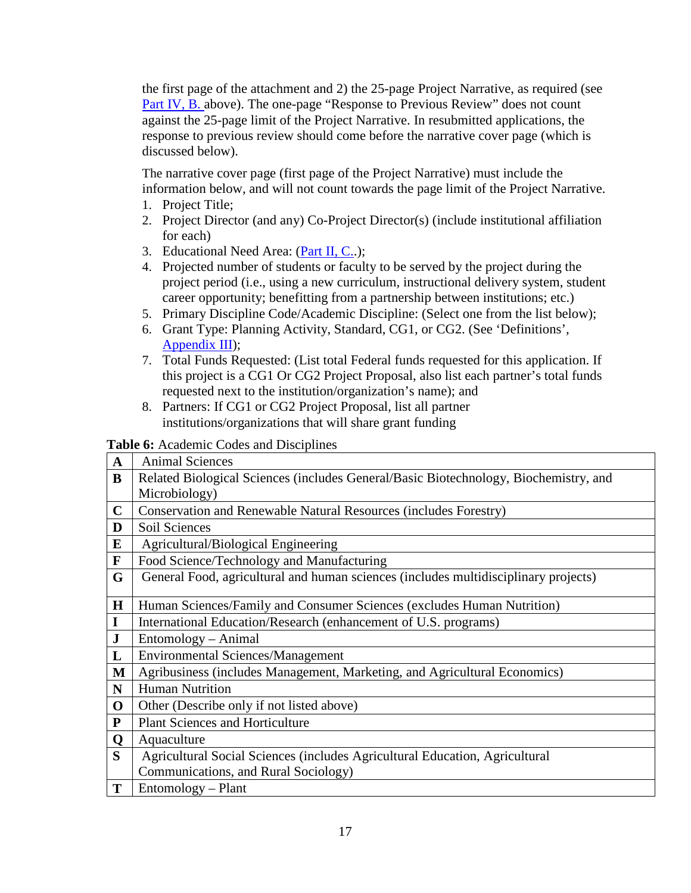the first page of the attachment and 2) the 25-page Project Narrative, as required (see [Part IV, B.](#page-14-2) above). The one-page "Response to Previous Review" does not count against the 25-page limit of the Project Narrative. In resubmitted applications, the response to previous review should come before the narrative cover page (which is discussed below).

The narrative cover page (first page of the Project Narrative) must include the information below, and will not count towards the page limit of the Project Narrative.

- 1. Project Title;
- 2. Project Director (and any) Co-Project Director(s) (include institutional affiliation for each)
- 3. Educational Need Area: [\(Part II, C..](#page-8-3));
- 4. Projected number of students or faculty to be served by the project during the project period (i.e., using a new curriculum, instructional delivery system, student career opportunity; benefitting from a partnership between institutions; etc.)
- 5. Primary Discipline Code/Academic Discipline: (Select one from the list below);
- 6. Grant Type: Planning Activity, Standard, CG1, or CG2. (See 'Definitions', [Appendix III\)](#page-30-0);
- 7. Total Funds Requested: (List total Federal funds requested for this application. If this project is a CG1 Or CG2 Project Proposal, also list each partner's total funds requested next to the institution/organization's name); and
- 8. Partners: If CG1 or CG2 Project Proposal, list all partner institutions/organizations that will share grant funding

<span id="page-16-0"></span>**Table 6:** Academic Codes and Disciplines

| $\mathbf A$ | <b>Animal Sciences</b>                                                                                |
|-------------|-------------------------------------------------------------------------------------------------------|
| B           | Related Biological Sciences (includes General/Basic Biotechnology, Biochemistry, and<br>Microbiology) |
| $\mathbf C$ | <b>Conservation and Renewable Natural Resources (includes Forestry)</b>                               |
| D           | Soil Sciences                                                                                         |
| E           | Agricultural/Biological Engineering                                                                   |
| $\mathbf F$ | Food Science/Technology and Manufacturing                                                             |
| G           | General Food, agricultural and human sciences (includes multidisciplinary projects)                   |
| H           | Human Sciences/Family and Consumer Sciences (excludes Human Nutrition)                                |
| I           | International Education/Research (enhancement of U.S. programs)                                       |
| ${\bf J}$   | Entomology – Animal                                                                                   |
| L           | <b>Environmental Sciences/Management</b>                                                              |
| M           | Agribusiness (includes Management, Marketing, and Agricultural Economics)                             |
| $\mathbf N$ | <b>Human Nutrition</b>                                                                                |
| $\mathbf 0$ | Other (Describe only if not listed above)                                                             |
| ${\bf P}$   | <b>Plant Sciences and Horticulture</b>                                                                |
| Q           | Aquaculture                                                                                           |
| S           | Agricultural Social Sciences (includes Agricultural Education, Agricultural                           |
|             | Communications, and Rural Sociology)                                                                  |
| T           | Entomology – Plant                                                                                    |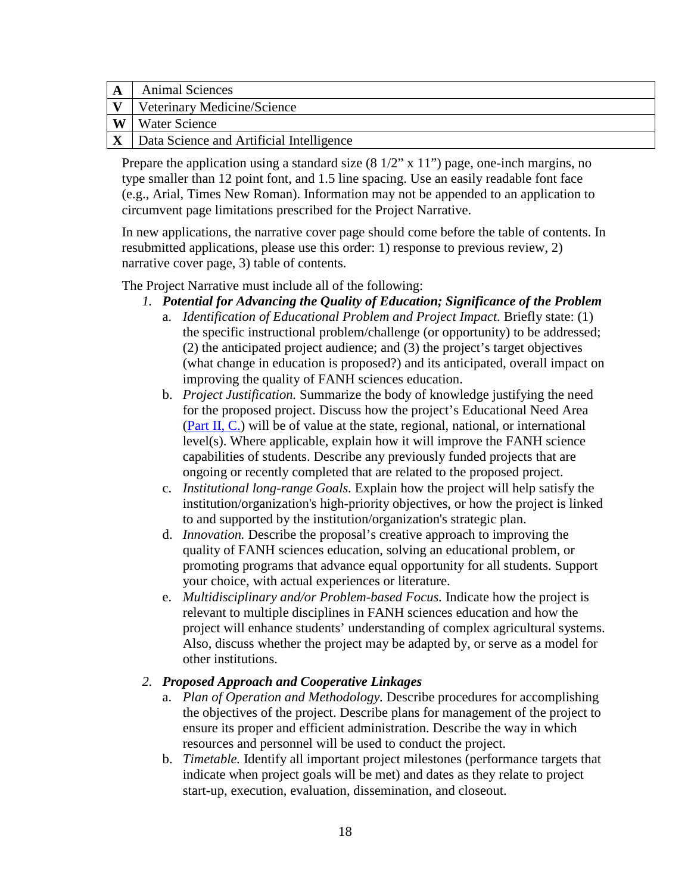|          | <b>Animal Sciences</b>                   |
|----------|------------------------------------------|
|          | Veterinary Medicine/Science              |
| <b>W</b> | <b>Water Science</b>                     |
|          | Data Science and Artificial Intelligence |

Prepare the application using a standard size  $(8 \frac{1}{2}$ " x  $11$ ") page, one-inch margins, no type smaller than 12 point font, and 1.5 line spacing. Use an easily readable font face (e.g., Arial, Times New Roman). Information may not be appended to an application to circumvent page limitations prescribed for the Project Narrative.

In new applications, the narrative cover page should come before the table of contents. In resubmitted applications, please use this order: 1) response to previous review, 2) narrative cover page, 3) table of contents.

The Project Narrative must include all of the following:

- *1. Potential for Advancing the Quality of Education; Significance of the Problem*
	- a. *Identification of Educational Problem and Project Impact.* Briefly state: (1) the specific instructional problem/challenge (or opportunity) to be addressed; (2) the anticipated project audience; and (3) the project's target objectives (what change in education is proposed?) and its anticipated, overall impact on improving the quality of FANH sciences education.
	- b. *Project Justification.* Summarize the body of knowledge justifying the need for the proposed project. Discuss how the project's Educational Need Area [\(Part II, C.\)](#page-8-2) will be of value at the state, regional, national, or international level(s). Where applicable, explain how it will improve the FANH science capabilities of students. Describe any previously funded projects that are ongoing or recently completed that are related to the proposed project.
	- c. *Institutional long-range Goals.* Explain how the project will help satisfy the institution/organization's high-priority objectives, or how the project is linked to and supported by the institution/organization's strategic plan.
	- d. *Innovation.* Describe the proposal's creative approach to improving the quality of FANH sciences education, solving an educational problem, or promoting programs that advance equal opportunity for all students. Support your choice, with actual experiences or literature.
	- e. *Multidisciplinary and/or Problem-based Focus.* Indicate how the project is relevant to multiple disciplines in FANH sciences education and how the project will enhance students' understanding of complex agricultural systems. Also, discuss whether the project may be adapted by, or serve as a model for other institutions.

## *2. Proposed Approach and Cooperative Linkages*

- a. *Plan of Operation and Methodology.* Describe procedures for accomplishing the objectives of the project. Describe plans for management of the project to ensure its proper and efficient administration. Describe the way in which resources and personnel will be used to conduct the project.
- b. *Timetable.* Identify all important project milestones (performance targets that indicate when project goals will be met) and dates as they relate to project start-up, execution, evaluation, dissemination, and closeout.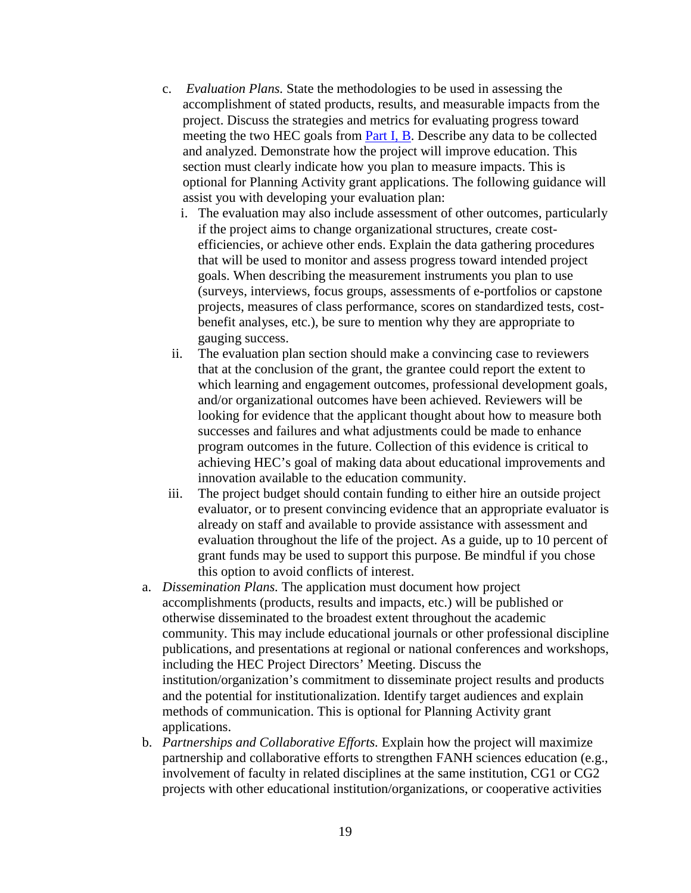- c. *Evaluation Plans.* State the methodologies to be used in assessing the accomplishment of stated products, results, and measurable impacts from the project. Discuss the strategies and metrics for evaluating progress toward meeting the two HEC goals from [Part I, B.](#page-5-2) Describe any data to be collected and analyzed. Demonstrate how the project will improve education. This section must clearly indicate how you plan to measure impacts. This is optional for Planning Activity grant applications. The following guidance will assist you with developing your evaluation plan:
	- i. The evaluation may also include assessment of other outcomes, particularly if the project aims to change organizational structures, create costefficiencies, or achieve other ends. Explain the data gathering procedures that will be used to monitor and assess progress toward intended project goals. When describing the measurement instruments you plan to use (surveys, interviews, focus groups, assessments of e-portfolios or capstone projects, measures of class performance, scores on standardized tests, costbenefit analyses, etc.), be sure to mention why they are appropriate to gauging success.
	- ii. The evaluation plan section should make a convincing case to reviewers that at the conclusion of the grant, the grantee could report the extent to which learning and engagement outcomes, professional development goals, and/or organizational outcomes have been achieved. Reviewers will be looking for evidence that the applicant thought about how to measure both successes and failures and what adjustments could be made to enhance program outcomes in the future. Collection of this evidence is critical to achieving HEC's goal of making data about educational improvements and innovation available to the education community.
- iii. The project budget should contain funding to either hire an outside project evaluator, or to present convincing evidence that an appropriate evaluator is already on staff and available to provide assistance with assessment and evaluation throughout the life of the project. As a guide, up to 10 percent of grant funds may be used to support this purpose. Be mindful if you chose this option to avoid conflicts of interest.
- a. *Dissemination Plans.* The application must document how project accomplishments (products, results and impacts, etc.) will be published or otherwise disseminated to the broadest extent throughout the academic community. This may include educational journals or other professional discipline publications, and presentations at regional or national conferences and workshops, including the HEC Project Directors' Meeting. Discuss the institution/organization's commitment to disseminate project results and products and the potential for institutionalization. Identify target audiences and explain methods of communication. This is optional for Planning Activity grant applications.
- b. *Partnerships and Collaborative Efforts.* Explain how the project will maximize partnership and collaborative efforts to strengthen FANH sciences education (e.g., involvement of faculty in related disciplines at the same institution, CG1 or CG2 projects with other educational institution/organizations, or cooperative activities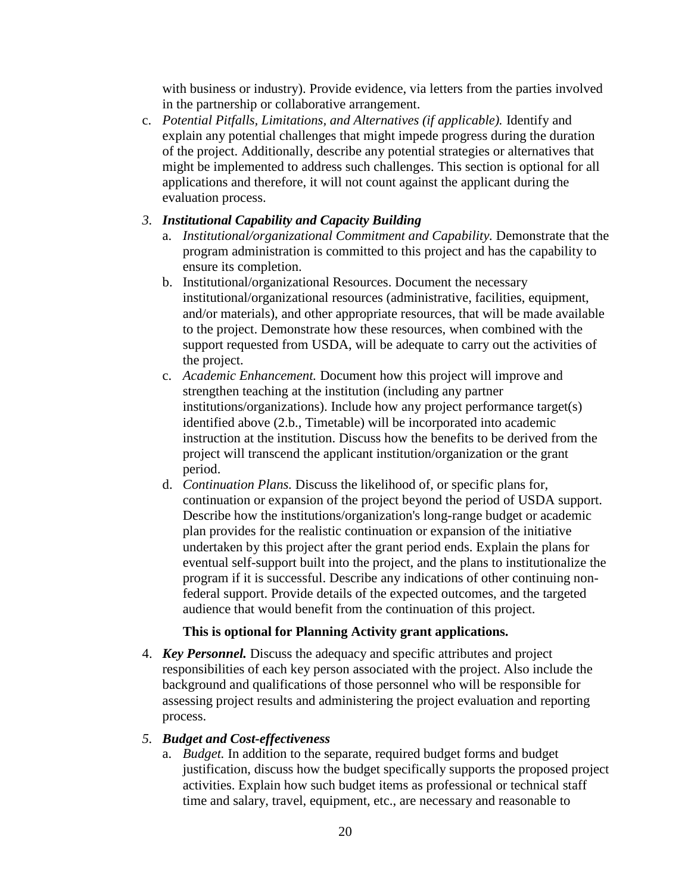with business or industry). Provide evidence, via letters from the parties involved in the partnership or collaborative arrangement.

c. *Potential Pitfalls, Limitations, and Alternatives (if applicable).* Identify and explain any potential challenges that might impede progress during the duration of the project. Additionally, describe any potential strategies or alternatives that might be implemented to address such challenges. This section is optional for all applications and therefore, it will not count against the applicant during the evaluation process.

#### *3. Institutional Capability and Capacity Building*

- a. *Institutional/organizational Commitment and Capability.* Demonstrate that the program administration is committed to this project and has the capability to ensure its completion.
- b. Institutional/organizational Resources. Document the necessary institutional/organizational resources (administrative, facilities, equipment, and/or materials), and other appropriate resources, that will be made available to the project. Demonstrate how these resources, when combined with the support requested from USDA, will be adequate to carry out the activities of the project.
- c. *Academic Enhancement.* Document how this project will improve and strengthen teaching at the institution (including any partner institutions/organizations). Include how any project performance target(s) identified above (2.b., Timetable) will be incorporated into academic instruction at the institution. Discuss how the benefits to be derived from the project will transcend the applicant institution/organization or the grant period.
- d. *Continuation Plans.* Discuss the likelihood of, or specific plans for, continuation or expansion of the project beyond the period of USDA support. Describe how the institutions/organization's long-range budget or academic plan provides for the realistic continuation or expansion of the initiative undertaken by this project after the grant period ends. Explain the plans for eventual self-support built into the project, and the plans to institutionalize the program if it is successful. Describe any indications of other continuing nonfederal support. Provide details of the expected outcomes, and the targeted audience that would benefit from the continuation of this project.

#### **This is optional for Planning Activity grant applications.**

4. *Key Personnel.* Discuss the adequacy and specific attributes and project responsibilities of each key person associated with the project. Also include the background and qualifications of those personnel who will be responsible for assessing project results and administering the project evaluation and reporting process.

#### *5. Budget and Cost-effectiveness*

a. *Budget.* In addition to the separate, required budget forms and budget justification, discuss how the budget specifically supports the proposed project activities. Explain how such budget items as professional or technical staff time and salary, travel, equipment, etc., are necessary and reasonable to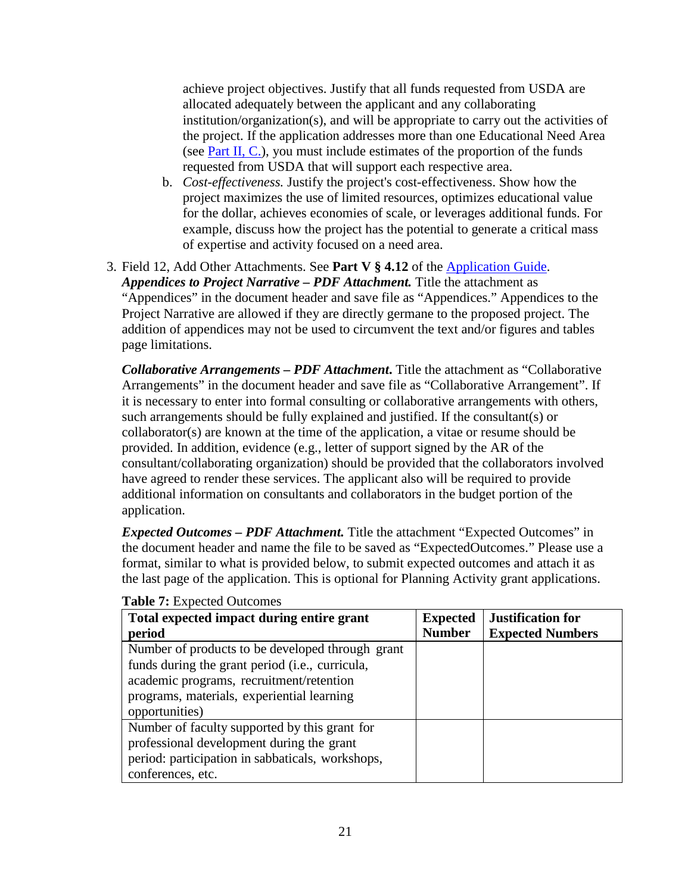achieve project objectives. Justify that all funds requested from USDA are allocated adequately between the applicant and any collaborating institution/organization(s), and will be appropriate to carry out the activities of the project. If the application addresses more than one Educational Need Area (see [Part II, C.\)](#page-8-3), you must include estimates of the proportion of the funds requested from USDA that will support each respective area.

- b. *Cost-effectiveness.* Justify the project's cost-effectiveness. Show how the project maximizes the use of limited resources, optimizes educational value for the dollar, achieves economies of scale, or leverages additional funds. For example, discuss how the project has the potential to generate a critical mass of expertise and activity focused on a need area.
- 3. Field 12, Add Other Attachments. See **Part V § 4.12** of the [Application Guide.](https://apply07.grants.gov/apply/opportunities/instructions/PKG00249520-instructions.pdf) *Appendices to Project Narrative – PDF Attachment.* Title the attachment as "Appendices" in the document header and save file as "Appendices." Appendices to the Project Narrative are allowed if they are directly germane to the proposed project. The addition of appendices may not be used to circumvent the text and/or figures and tables page limitations.

*Collaborative Arrangements – PDF Attachment***.** Title the attachment as "Collaborative Arrangements" in the document header and save file as "Collaborative Arrangement". If it is necessary to enter into formal consulting or collaborative arrangements with others, such arrangements should be fully explained and justified. If the consultant(s) or collaborator(s) are known at the time of the application, a vitae or resume should be provided. In addition, evidence (e.g., letter of support signed by the AR of the consultant/collaborating organization) should be provided that the collaborators involved have agreed to render these services. The applicant also will be required to provide additional information on consultants and collaborators in the budget portion of the application.

*Expected Outcomes – PDF Attachment.* Title the attachment "Expected Outcomes" in the document header and name the file to be saved as "ExpectedOutcomes." Please use a format, similar to what is provided below, to submit expected outcomes and attach it as the last page of the application. This is optional for Planning Activity grant applications.

| Total expected impact during entire grant<br>period                                                                                                                                                             | <b>Expected</b><br><b>Number</b> | <b>Justification for</b><br><b>Expected Numbers</b> |
|-----------------------------------------------------------------------------------------------------------------------------------------------------------------------------------------------------------------|----------------------------------|-----------------------------------------------------|
| Number of products to be developed through grant<br>funds during the grant period (i.e., curricula,<br>academic programs, recruitment/retention<br>programs, materials, experiential learning<br>opportunities) |                                  |                                                     |
| Number of faculty supported by this grant for<br>professional development during the grant<br>period: participation in sabbaticals, workshops,<br>conferences, etc.                                             |                                  |                                                     |

<span id="page-20-0"></span>**Table 7:** Expected Outcomes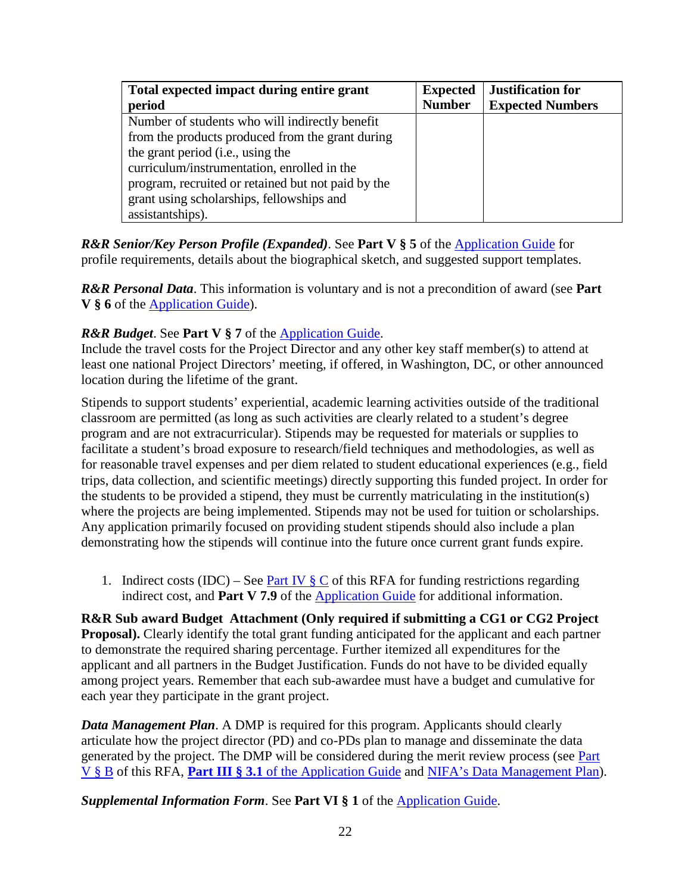| Total expected impact during entire grant          | <b>Expected</b> | <b>Justification for</b> |
|----------------------------------------------------|-----------------|--------------------------|
| period                                             | <b>Number</b>   | <b>Expected Numbers</b>  |
| Number of students who will indirectly benefit     |                 |                          |
| from the products produced from the grant during   |                 |                          |
| the grant period (i.e., using the                  |                 |                          |
| curriculum/instrumentation, enrolled in the        |                 |                          |
| program, recruited or retained but not paid by the |                 |                          |
| grant using scholarships, fellowships and          |                 |                          |
| assistantships).                                   |                 |                          |

*R&R Senior/Key Person Profile (Expanded)*. See **Part V § 5** of the [Application Guide](https://apply07.grants.gov/apply/opportunities/instructions/PKG00249520-instructions.pdf) for profile requirements, details about the biographical sketch, and suggested support templates.

*R&R Personal Data*. This information is voluntary and is not a precondition of award (see **Part V § 6** of the [Application Guide\)](https://apply07.grants.gov/apply/opportunities/instructions/PKG00249520-instructions.pdf).

#### *R&R Budget*. See **Part V** § 7 of the **Application Guide**.

Include the travel costs for the Project Director and any other key staff member(s) to attend at least one national Project Directors' meeting, if offered, in Washington, DC, or other announced location during the lifetime of the grant.

Stipends to support students' experiential, academic learning activities outside of the traditional classroom are permitted (as long as such activities are clearly related to a student's degree program and are not extracurricular). Stipends may be requested for materials or supplies to facilitate a student's broad exposure to research/field techniques and methodologies, as well as for reasonable travel expenses and per diem related to student educational experiences (e.g., field trips, data collection, and scientific meetings) directly supporting this funded project. In order for the students to be provided a stipend, they must be currently matriculating in the institution(s) where the projects are being implemented. Stipends may not be used for tuition or scholarships. Any application primarily focused on providing student stipends should also include a plan demonstrating how the stipends will continue into the future once current grant funds expire.

1. Indirect costs (IDC) – See <u>[Part IV § C](#page-22-0)</u> of this RFA for funding restrictions regarding indirect cost, and **Part V 7.9** of the [Application Guide](https://apply07.grants.gov/apply/opportunities/instructions/PKG00249520-instructions.pdf) for additional information.

**R&R Sub award Budget Attachment (Only required if submitting a CG1 or CG2 Project Proposal).** Clearly identify the total grant funding anticipated for the applicant and each partner to demonstrate the required sharing percentage. Further itemized all expenditures for the applicant and all partners in the Budget Justification. Funds do not have to be divided equally among project years. Remember that each sub-awardee must have a budget and cumulative for each year they participate in the grant project.

*Data Management Plan*. A DMP is required for this program. Applicants should clearly articulate how the project director (PD) and co-PDs plan to manage and disseminate the data generated by the project. The DMP will be considered during the merit review process (see Part [V § B](#page-23-2) of this RFA, **Part III § 3.1** of the [Application Guide](https://apply07.grants.gov/apply/opportunities/instructions/PKG00249520-instructions.pdf) and NIFA's Data [Management Plan\)](https://nifa.usda.gov/resource/data-management-plan-nifa-funded-research-projects).

*Supplemental Information Form*. See **Part VI § 1** of the [Application Guide.](https://apply07.grants.gov/apply/opportunities/instructions/PKG00249520-instructions.pdf)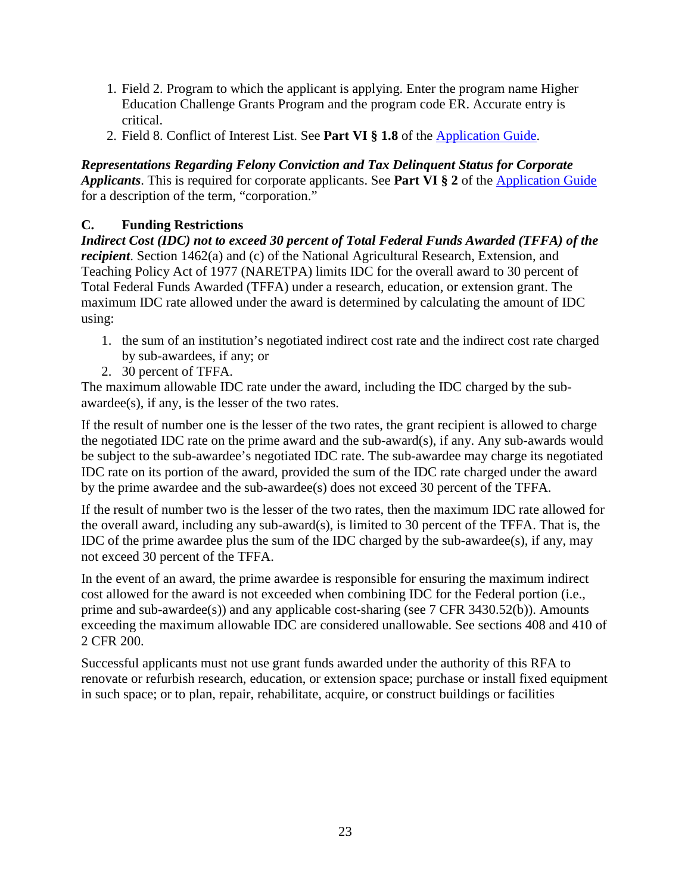- 1. Field 2. Program to which the applicant is applying. Enter the program name Higher Education Challenge Grants Program and the program code ER. Accurate entry is critical.
- 2. Field 8. Conflict of Interest List. See **Part VI § 1.8** of the [Application Guide.](https://apply07.grants.gov/apply/opportunities/instructions/PKG00249520-instructions.pdf)

*Representations Regarding Felony Conviction and Tax Delinquent Status for Corporate Applicants*. This is required for corporate applicants. See **Part VI § 2** of the [Application Guide](https://apply07.grants.gov/apply/opportunities/instructions/PKG00249520-instructions.pdf) for a description of the term, "corporation."

## <span id="page-22-0"></span>**C. Funding Restrictions**

*Indirect Cost (IDC) not to exceed 30 percent of Total Federal Funds Awarded (TFFA) of the recipient*. Section 1462(a) and (c) of the National Agricultural Research, Extension, and Teaching Policy Act of 1977 (NARETPA) limits IDC for the overall award to 30 percent of Total Federal Funds Awarded (TFFA) under a research, education, or extension grant. The maximum IDC rate allowed under the award is determined by calculating the amount of IDC using:

- 1. the sum of an institution's negotiated indirect cost rate and the indirect cost rate charged by sub-awardees, if any; or
- 2. 30 percent of TFFA.

The maximum allowable IDC rate under the award, including the IDC charged by the subawardee(s), if any, is the lesser of the two rates.

If the result of number one is the lesser of the two rates, the grant recipient is allowed to charge the negotiated IDC rate on the prime award and the sub-award(s), if any. Any sub-awards would be subject to the sub-awardee's negotiated IDC rate. The sub-awardee may charge its negotiated IDC rate on its portion of the award, provided the sum of the IDC rate charged under the award by the prime awardee and the sub-awardee(s) does not exceed 30 percent of the TFFA.

If the result of number two is the lesser of the two rates, then the maximum IDC rate allowed for the overall award, including any sub-award(s), is limited to 30 percent of the TFFA. That is, the IDC of the prime awardee plus the sum of the IDC charged by the sub-awardee(s), if any, may not exceed 30 percent of the TFFA.

In the event of an award, the prime awardee is responsible for ensuring the maximum indirect cost allowed for the award is not exceeded when combining IDC for the Federal portion (i.e., prime and sub-awardee(s)) and any applicable cost-sharing (see 7 CFR 3430.52(b)). Amounts exceeding the maximum allowable IDC are considered unallowable. See sections 408 and 410 of 2 CFR 200.

Successful applicants must not use grant funds awarded under the authority of this RFA to renovate or refurbish research, education, or extension space; purchase or install fixed equipment in such space; or to plan, repair, rehabilitate, acquire, or construct buildings or facilities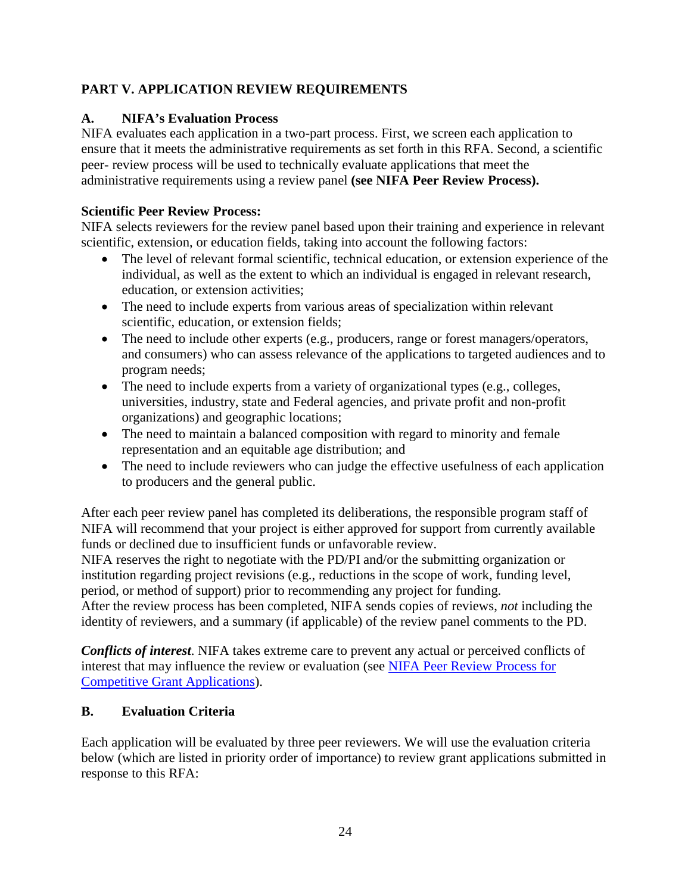# <span id="page-23-0"></span>**PART V. APPLICATION REVIEW REQUIREMENTS**

# <span id="page-23-1"></span>**A. NIFA's Evaluation Process**

NIFA evaluates each application in a two-part process. First, we screen each application to ensure that it meets the administrative requirements as set forth in this RFA. Second, a scientific peer- review process will be used to technically evaluate applications that meet the administrative requirements using a review panel **(see NIFA Peer Review Process).**

# **Scientific Peer Review Process:**

NIFA selects reviewers for the review panel based upon their training and experience in relevant scientific, extension, or education fields, taking into account the following factors:

- The level of relevant formal scientific, technical education, or extension experience of the individual, as well as the extent to which an individual is engaged in relevant research, education, or extension activities;
- The need to include experts from various areas of specialization within relevant scientific, education, or extension fields;
- The need to include other experts (e.g., producers, range or forest managers/operators, and consumers) who can assess relevance of the applications to targeted audiences and to program needs;
- The need to include experts from a variety of organizational types (e.g., colleges, universities, industry, state and Federal agencies, and private profit and non-profit organizations) and geographic locations;
- The need to maintain a balanced composition with regard to minority and female representation and an equitable age distribution; and
- The need to include reviewers who can judge the effective usefulness of each application to producers and the general public.

After each peer review panel has completed its deliberations, the responsible program staff of NIFA will recommend that your project is either approved for support from currently available funds or declined due to insufficient funds or unfavorable review.

NIFA reserves the right to negotiate with the PD/PI and/or the submitting organization or institution regarding project revisions (e.g., reductions in the scope of work, funding level, period, or method of support) prior to recommending any project for funding.

After the review process has been completed, NIFA sends copies of reviews, *not* including the identity of reviewers, and a summary (if applicable) of the review panel comments to the PD.

*Conflicts of interest*. NIFA takes extreme care to prevent any actual or perceived conflicts of interest that may influence the review or evaluation (see [NIFA Peer Review Process](https://nifa.usda.gov/resource/nifa-peer-review-process-competitive-grant-applications) for [Competitive Grant Applications\)](https://nifa.usda.gov/resource/nifa-peer-review-process-competitive-grant-applications).

# <span id="page-23-2"></span>**B. Evaluation Criteria**

Each application will be evaluated by three peer reviewers. We will use the evaluation criteria below (which are listed in priority order of importance) to review grant applications submitted in response to this RFA: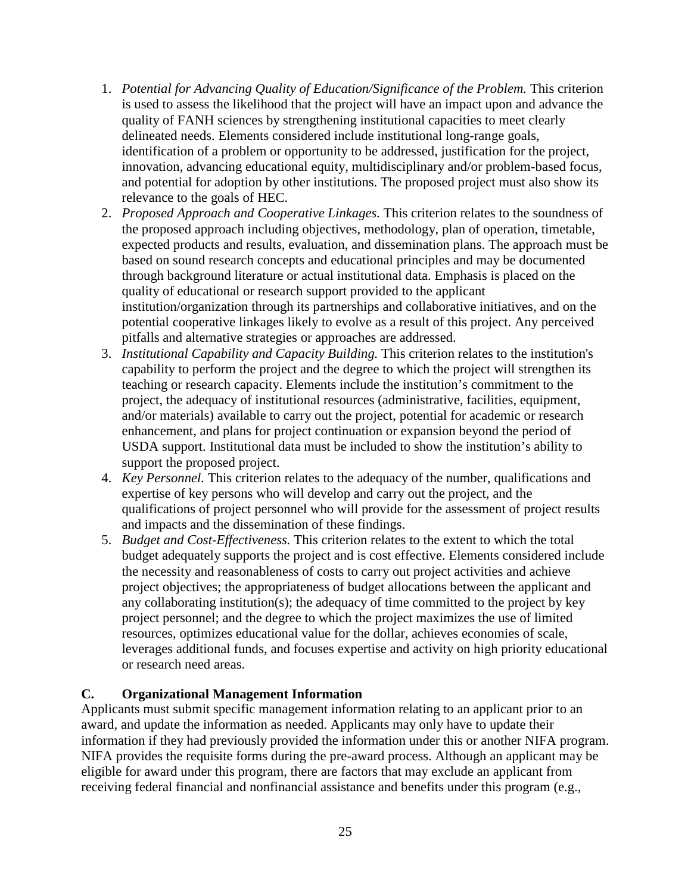- 1. *Potential for Advancing Quality of Education/Significance of the Problem.* This criterion is used to assess the likelihood that the project will have an impact upon and advance the quality of FANH sciences by strengthening institutional capacities to meet clearly delineated needs. Elements considered include institutional long-range goals, identification of a problem or opportunity to be addressed, justification for the project, innovation, advancing educational equity, multidisciplinary and/or problem-based focus, and potential for adoption by other institutions. The proposed project must also show its relevance to the goals of HEC.
- 2. *Proposed Approach and Cooperative Linkages.* This criterion relates to the soundness of the proposed approach including objectives, methodology, plan of operation, timetable, expected products and results, evaluation, and dissemination plans. The approach must be based on sound research concepts and educational principles and may be documented through background literature or actual institutional data. Emphasis is placed on the quality of educational or research support provided to the applicant institution/organization through its partnerships and collaborative initiatives, and on the potential cooperative linkages likely to evolve as a result of this project. Any perceived pitfalls and alternative strategies or approaches are addressed.
- 3. *Institutional Capability and Capacity Building.* This criterion relates to the institution's capability to perform the project and the degree to which the project will strengthen its teaching or research capacity. Elements include the institution's commitment to the project, the adequacy of institutional resources (administrative, facilities, equipment, and/or materials) available to carry out the project, potential for academic or research enhancement, and plans for project continuation or expansion beyond the period of USDA support. Institutional data must be included to show the institution's ability to support the proposed project.
- 4. *Key Personnel.* This criterion relates to the adequacy of the number, qualifications and expertise of key persons who will develop and carry out the project, and the qualifications of project personnel who will provide for the assessment of project results and impacts and the dissemination of these findings.
- 5. *Budget and Cost-Effectiveness.* This criterion relates to the extent to which the total budget adequately supports the project and is cost effective. Elements considered include the necessity and reasonableness of costs to carry out project activities and achieve project objectives; the appropriateness of budget allocations between the applicant and any collaborating institution(s); the adequacy of time committed to the project by key project personnel; and the degree to which the project maximizes the use of limited resources, optimizes educational value for the dollar, achieves economies of scale, leverages additional funds, and focuses expertise and activity on high priority educational or research need areas.

## <span id="page-24-0"></span>**C. Organizational Management Information**

Applicants must submit specific management information relating to an applicant prior to an award, and update the information as needed. Applicants may only have to update their information if they had previously provided the information under this or another NIFA program. NIFA provides the requisite forms during the pre-award process. Although an applicant may be eligible for award under this program, there are factors that may exclude an applicant from receiving federal financial and nonfinancial assistance and benefits under this program (e.g.,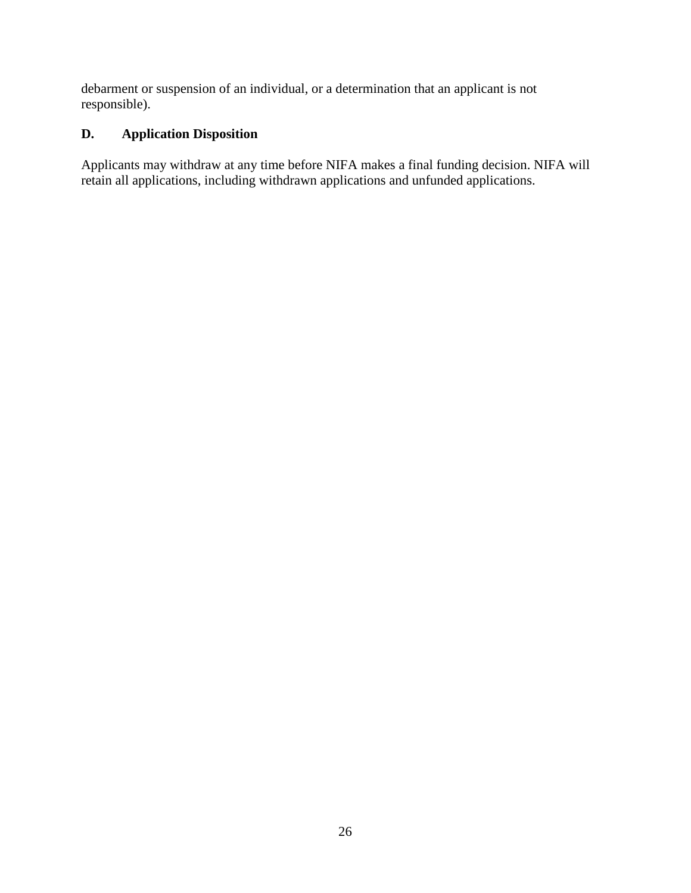debarment or suspension of an individual, or a determination that an applicant is not responsible).

# <span id="page-25-0"></span>**D. Application Disposition**

Applicants may withdraw at any time before NIFA makes a final funding decision. NIFA will retain all applications, including withdrawn applications and unfunded applications.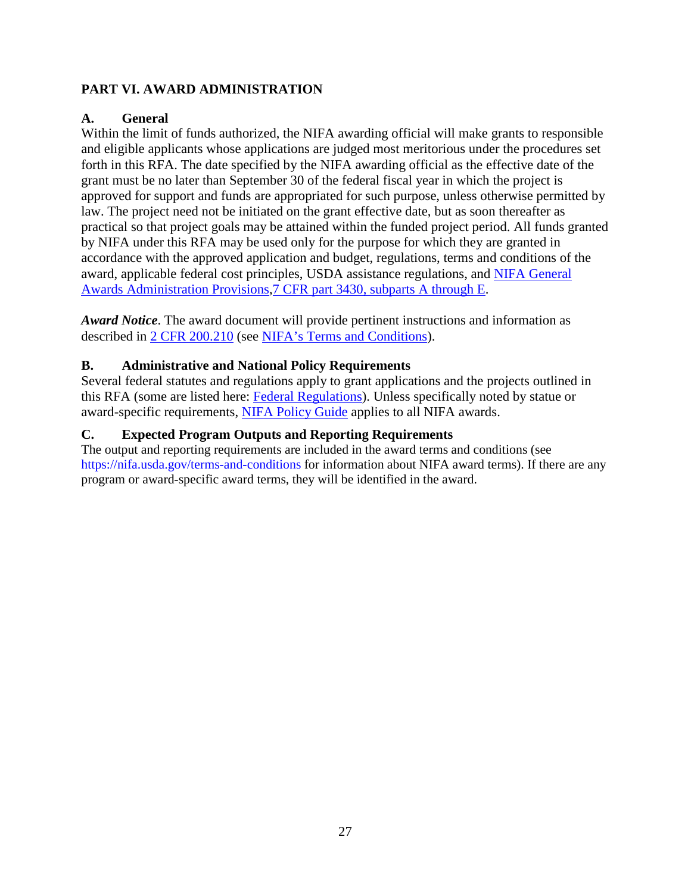# <span id="page-26-0"></span>**PART VI. AWARD ADMINISTRATION**

## <span id="page-26-1"></span>**A. General**

Within the limit of funds authorized, the NIFA awarding official will make grants to responsible and eligible applicants whose applications are judged most meritorious under the procedures set forth in this RFA. The date specified by the NIFA awarding official as the effective date of the grant must be no later than September 30 of the federal fiscal year in which the project is approved for support and funds are appropriated for such purpose, unless otherwise permitted by law. The project need not be initiated on the grant effective date, but as soon thereafter as practical so that project goals may be attained within the funded project period. All funds granted by NIFA under this RFA may be used only for the purpose for which they are granted in accordance with the approved application and budget, regulations, terms and conditions of the award, applicable federal cost principles, USDA assistance regulations, and [NIFA General](https://ecfr.io/Title-07/pt7.15.3430)  [Awards Administration Provisions,7 CFR part 3430, subparts A through E.](https://ecfr.io/Title-07/pt7.15.3430)

*Award Notice*. The award document will provide pertinent instructions and information as described in [2 CFR 200.210](https://www.ecfr.gov/cgi-bin/text-idx?SID=70b44cfc44976f4a7742464f7cfbb37e&mc=true&node=se2.1.200_1210&rgn=div8) (see [NIFA's Terms and Conditions\)](https://nifa.usda.gov/terms-and-conditions).

## <span id="page-26-2"></span>**B. Administrative and National Policy Requirements**

Several federal statutes and regulations apply to grant applications and the projects outlined in this RFA (some are listed here: [Federal Regulations\)](https://nifa.usda.gov/federal-regulations). Unless specifically noted by statue or award-specific requirements, [NIFA Policy Guide](https://nifa.usda.gov/policy-guide) applies to all NIFA awards.

## <span id="page-26-3"></span>**C. Expected Program Outputs and Reporting Requirements**

The output and reporting requirements are included in the award terms and conditions (see https://nifa.usda.gov/terms-and-conditions for information about NIFA award terms). If there are any program or award-specific award terms, they will be identified in the award.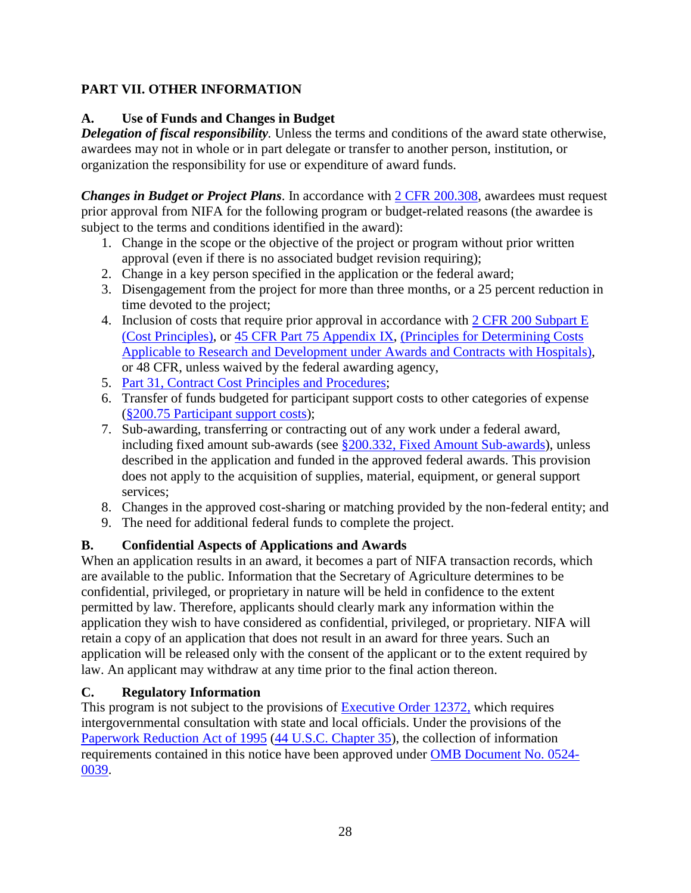# <span id="page-27-0"></span>**PART VII. OTHER INFORMATION**

# <span id="page-27-1"></span>**A. Use of Funds and Changes in Budget**

*Delegation of fiscal responsibility.* Unless the terms and conditions of the award state otherwise, awardees may not in whole or in part delegate or transfer to another person, institution, or organization the responsibility for use or expenditure of award funds.

*Changes in Budget or Project Plans*. In accordance with [2 CFR 200.308,](https://www.ecfr.gov/cgi-bin/text-idx?SID=3af89506559b05297e7d0334cb283e24&mc=true&node=se2.1.200_1308&rgn=div8) awardees must request prior approval from NIFA for the following program or budget-related reasons (the awardee is subject to the terms and conditions identified in the award):

- 1. Change in the scope or the objective of the project or program without prior written approval (even if there is no associated budget revision requiring);
- 2. Change in a key person specified in the application or the federal award;
- 3. Disengagement from the project for more than three months, or a 25 percent reduction in time devoted to the project;
- 4. Inclusion of costs that require prior approval in accordance with [2 CFR 200 Subpart E](https://ecfr.io/Title-02/sp2.1.200.e) [\(Cost Principles\),](https://ecfr.io/Title-02/sp2.1.200.e) or [45 CFR Part 75 Appendix IX,](https://www.ecfr.gov/cgi-bin/text-idx?node=pt45.1.75#ap45.1.75_1521.ix) [\(Principles for Determining Costs](https://www.ecfr.gov/cgi-bin/text-idx?node=pt45.1.75#ap45.1.75_1521.ix)  Applicable to [Research and Development under Awards and Contracts with Hospitals\)](https://www.ecfr.gov/cgi-bin/text-idx?node=pt45.1.75#ap45.1.75_1521.ix), or 48 CFR, unless waived by the federal awarding agency,
- 5. Part 31, [Contract Cost Principles and Procedures;](https://ecfr.io/Title-48/pt48.1.31)
- 6. Transfer of funds budgeted for participant support costs to other categories of expense (§200.75 [Participant support costs\)](http://federal.elaws.us/cfr/title2.part200.section200.75);
- 7. Sub-awarding, transferring or contracting out of any work under a federal award, including fixed amount sub-awards (see §200.332, [Fixed Amount](http://federal.elaws.us/cfr/title2.part200.section200.332) Sub-awards), unless described in the application and funded in the approved federal awards. This provision does not apply to the acquisition of supplies, material, equipment, or general support services;
- 8. Changes in the approved cost-sharing or matching provided by the non-federal entity; and
- 9. The need for additional federal funds to complete the project.

# <span id="page-27-2"></span>**B. Confidential Aspects of Applications and Awards**

When an application results in an award, it becomes a part of NIFA transaction records, which are available to the public. Information that the Secretary of Agriculture determines to be confidential, privileged, or proprietary in nature will be held in confidence to the extent permitted by law. Therefore, applicants should clearly mark any information within the application they wish to have considered as confidential, privileged, or proprietary. NIFA will retain a copy of an application that does not result in an award for three years. Such an application will be released only with the consent of the applicant or to the extent required by law. An applicant may withdraw at any time prior to the final action thereon.

# <span id="page-27-3"></span>**C. Regulatory Information**

This program is not subject to the provisions of [Executive Order 12372,](https://www.fws.gov/policy/library/rgeo12372.pdf) which requires intergovernmental consultation with state and local officials. Under the provisions of the [Paperwork Reduction Act of 1995](https://www.reginfo.gov/public/reginfo/pra.pdf) [\(44 U.S.C. Chapter 35\)](http://uscode.house.gov/view.xhtml?path=/prelim@title44/chapter35&edition=prelim), the collection of information requirements contained in this notice have been approved under [OMB Document No. 0524-](https://www.federalregister.gov/documents/2018/10/29/2018-23552/submission-for-omb-review-comment-request) [0039.](https://www.federalregister.gov/documents/2018/10/29/2018-23552/submission-for-omb-review-comment-request)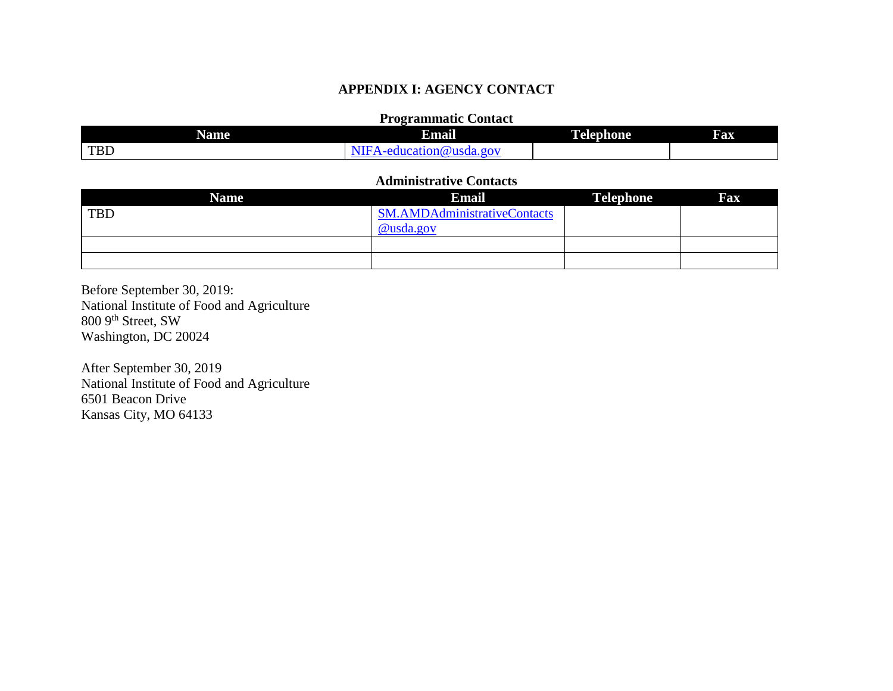## **APPENDIX I: AGENCY CONTACT**

#### **Programmatic Contact**

| <b>Name</b> | Email                                                                    | <b>Telephone</b> | Fax |
|-------------|--------------------------------------------------------------------------|------------------|-----|
| TBD         | .90 <sub>1</sub><br>7 (W<br>ncatior<br>≀usda<br>$- \Delta C$<br>. .<br>x |                  |     |

#### **Administrative Contacts**

| <b>Name</b> | <b>Email</b>                        | <b>Telephone</b> | <b>Fax</b> |
|-------------|-------------------------------------|------------------|------------|
| <b>TBD</b>  | <b>SM.AMDAdministrativeContacts</b> |                  |            |
|             | @usda.gov                           |                  |            |
|             |                                     |                  |            |
|             |                                     |                  |            |

<span id="page-28-0"></span>Before September 30, 2019: National Institute of Food and Agriculture 800 9th Street, SW Washington, DC 20024

After September 30, 2019 National Institute of Food and Agriculture 6501 Beacon Drive Kansas City, MO 64133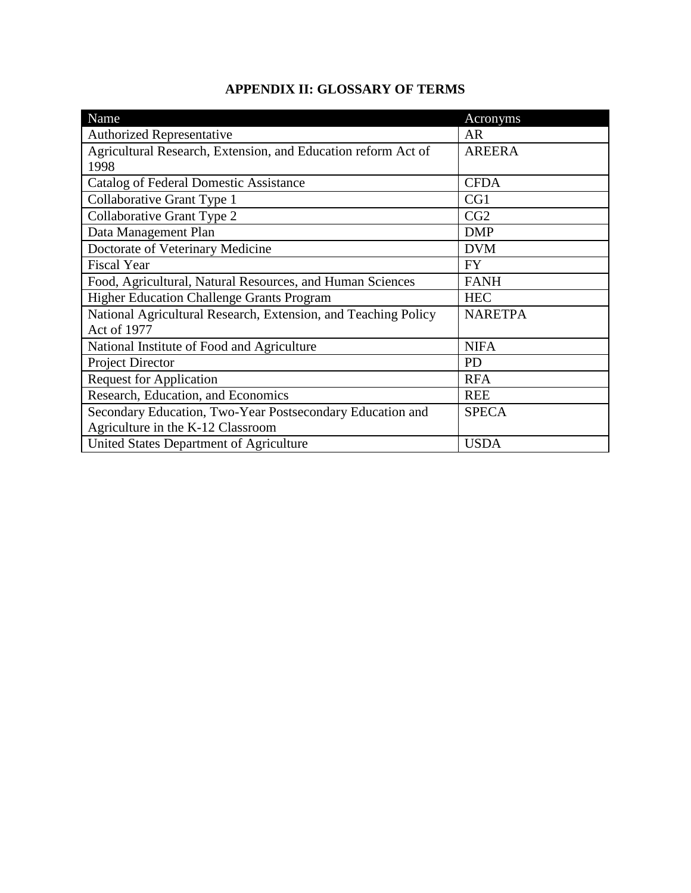# **APPENDIX II: GLOSSARY OF TERMS**

<span id="page-29-0"></span>

| Name                                                           | Acronyms       |
|----------------------------------------------------------------|----------------|
| <b>Authorized Representative</b>                               | AR             |
| Agricultural Research, Extension, and Education reform Act of  | <b>AREERA</b>  |
| 1998                                                           |                |
| <b>Catalog of Federal Domestic Assistance</b>                  | <b>CFDA</b>    |
| Collaborative Grant Type 1                                     | CG1            |
| Collaborative Grant Type 2                                     | CG2            |
| Data Management Plan                                           | <b>DMP</b>     |
| Doctorate of Veterinary Medicine                               | <b>DVM</b>     |
| <b>Fiscal Year</b>                                             | <b>FY</b>      |
| Food, Agricultural, Natural Resources, and Human Sciences      | <b>FANH</b>    |
| <b>Higher Education Challenge Grants Program</b>               | <b>HEC</b>     |
| National Agricultural Research, Extension, and Teaching Policy | <b>NARETPA</b> |
| <b>Act of 1977</b>                                             |                |
| National Institute of Food and Agriculture                     | <b>NIFA</b>    |
| <b>Project Director</b>                                        | <b>PD</b>      |
| <b>Request for Application</b>                                 | <b>RFA</b>     |
| Research, Education, and Economics                             | <b>REE</b>     |
| Secondary Education, Two-Year Postsecondary Education and      | <b>SPECA</b>   |
| Agriculture in the K-12 Classroom                              |                |
| United States Department of Agriculture                        | <b>USDA</b>    |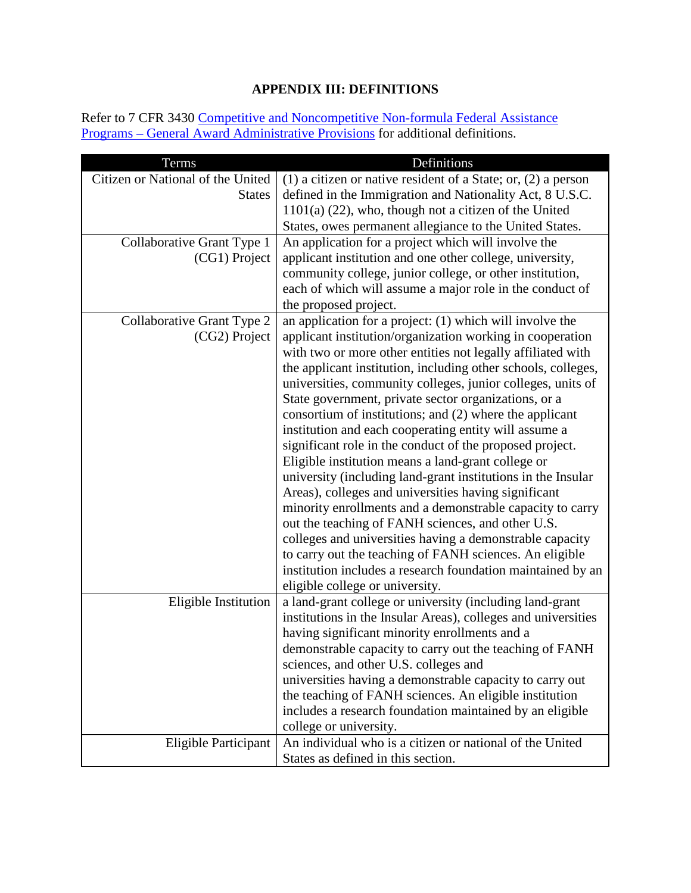# **APPENDIX III: DEFINITIONS**

<span id="page-30-0"></span>Refer to 7 CFR 3430 Competitive and Noncompetitive Non-formula Federal Assistance Programs – [General Award Administrative Provisions](https://www.ecfr.gov/cgi-bin/text-idx?c=ecfr&SID=2a6f6bfbef4c918616eebe5353d0793c&rgn=div5&view=text&node=7:15.1.12.2.13&idno=7#7:15.1.12.2.13.1.17.2) for additional definitions.

| Terms                             | Definitions                                                                                                    |
|-----------------------------------|----------------------------------------------------------------------------------------------------------------|
| Citizen or National of the United | (1) a citizen or native resident of a State; or, $(2)$ a person                                                |
| <b>States</b>                     | defined in the Immigration and Nationality Act, 8 U.S.C.                                                       |
|                                   | $1101(a)$ (22), who, though not a citizen of the United                                                        |
|                                   | States, owes permanent allegiance to the United States.                                                        |
| Collaborative Grant Type 1        | An application for a project which will involve the                                                            |
| (CG1) Project                     | applicant institution and one other college, university,                                                       |
|                                   | community college, junior college, or other institution,                                                       |
|                                   | each of which will assume a major role in the conduct of                                                       |
|                                   | the proposed project.                                                                                          |
| Collaborative Grant Type 2        | an application for a project: (1) which will involve the                                                       |
| (CG2) Project                     | applicant institution/organization working in cooperation                                                      |
|                                   | with two or more other entities not legally affiliated with                                                    |
|                                   | the applicant institution, including other schools, colleges,                                                  |
|                                   | universities, community colleges, junior colleges, units of                                                    |
|                                   | State government, private sector organizations, or a                                                           |
|                                   | consortium of institutions; and (2) where the applicant                                                        |
|                                   | institution and each cooperating entity will assume a                                                          |
|                                   | significant role in the conduct of the proposed project.                                                       |
|                                   | Eligible institution means a land-grant college or                                                             |
|                                   | university (including land-grant institutions in the Insular                                                   |
|                                   | Areas), colleges and universities having significant                                                           |
|                                   | minority enrollments and a demonstrable capacity to carry                                                      |
|                                   | out the teaching of FANH sciences, and other U.S.                                                              |
|                                   | colleges and universities having a demonstrable capacity                                                       |
|                                   | to carry out the teaching of FANH sciences. An eligible                                                        |
|                                   | institution includes a research foundation maintained by an                                                    |
|                                   | eligible college or university.                                                                                |
| Eligible Institution              | a land-grant college or university (including land-grant                                                       |
|                                   | institutions in the Insular Areas), colleges and universities<br>having significant minority enrollments and a |
|                                   |                                                                                                                |
|                                   | demonstrable capacity to carry out the teaching of FANH<br>sciences, and other U.S. colleges and               |
|                                   | universities having a demonstrable capacity to carry out                                                       |
|                                   | the teaching of FANH sciences. An eligible institution                                                         |
|                                   | includes a research foundation maintained by an eligible                                                       |
|                                   | college or university.                                                                                         |
| Eligible Participant              | An individual who is a citizen or national of the United                                                       |
|                                   | States as defined in this section.                                                                             |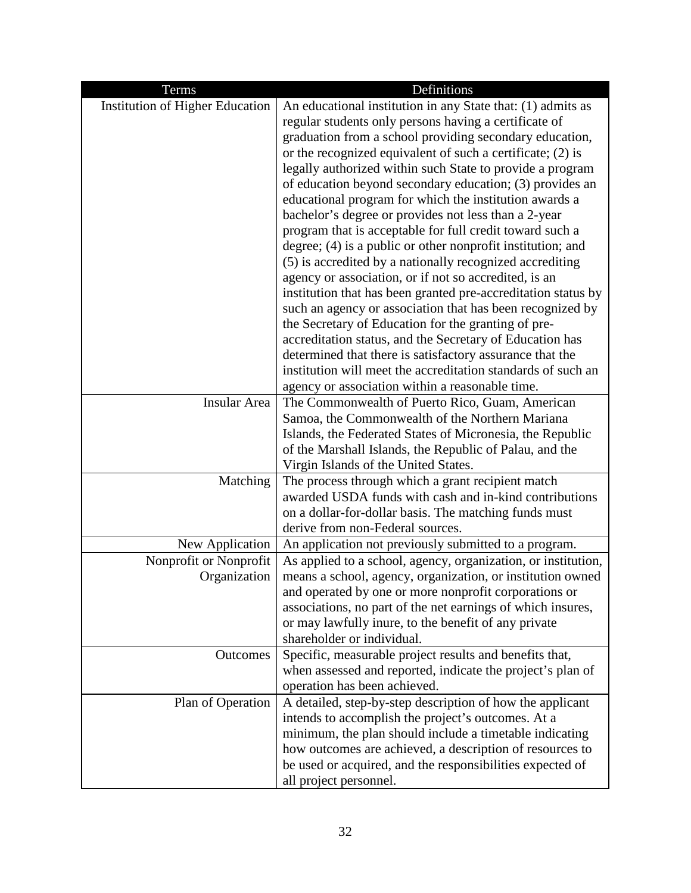| Terms                                  | Definitions                                                                                                                 |
|----------------------------------------|-----------------------------------------------------------------------------------------------------------------------------|
| Institution of Higher Education        | An educational institution in any State that: (1) admits as                                                                 |
|                                        | regular students only persons having a certificate of                                                                       |
|                                        | graduation from a school providing secondary education,                                                                     |
|                                        | or the recognized equivalent of such a certificate; (2) is                                                                  |
|                                        | legally authorized within such State to provide a program                                                                   |
|                                        | of education beyond secondary education; (3) provides an                                                                    |
|                                        | educational program for which the institution awards a                                                                      |
|                                        | bachelor's degree or provides not less than a 2-year                                                                        |
|                                        | program that is acceptable for full credit toward such a                                                                    |
|                                        | degree; $(4)$ is a public or other nonprofit institution; and                                                               |
|                                        | (5) is accredited by a nationally recognized accrediting                                                                    |
|                                        | agency or association, or if not so accredited, is an<br>institution that has been granted pre-accreditation status by      |
|                                        | such an agency or association that has been recognized by                                                                   |
|                                        | the Secretary of Education for the granting of pre-                                                                         |
|                                        | accreditation status, and the Secretary of Education has                                                                    |
|                                        | determined that there is satisfactory assurance that the                                                                    |
|                                        | institution will meet the accreditation standards of such an                                                                |
|                                        | agency or association within a reasonable time.                                                                             |
| Insular Area                           | The Commonwealth of Puerto Rico, Guam, American                                                                             |
|                                        | Samoa, the Commonwealth of the Northern Mariana                                                                             |
|                                        | Islands, the Federated States of Micronesia, the Republic                                                                   |
|                                        | of the Marshall Islands, the Republic of Palau, and the                                                                     |
|                                        | Virgin Islands of the United States.                                                                                        |
| Matching                               | The process through which a grant recipient match                                                                           |
|                                        | awarded USDA funds with cash and in-kind contributions                                                                      |
|                                        | on a dollar-for-dollar basis. The matching funds must                                                                       |
|                                        | derive from non-Federal sources.                                                                                            |
| New Application                        | An application not previously submitted to a program.                                                                       |
| Nonprofit or Nonprofit<br>Organization | As applied to a school, agency, organization, or institution,<br>means a school, agency, organization, or institution owned |
|                                        | and operated by one or more nonprofit corporations or                                                                       |
|                                        | associations, no part of the net earnings of which insures,                                                                 |
|                                        | or may lawfully inure, to the benefit of any private                                                                        |
|                                        | shareholder or individual.                                                                                                  |
| Outcomes                               | Specific, measurable project results and benefits that,                                                                     |
|                                        | when assessed and reported, indicate the project's plan of                                                                  |
|                                        | operation has been achieved.                                                                                                |
| Plan of Operation                      | A detailed, step-by-step description of how the applicant                                                                   |
|                                        | intends to accomplish the project's outcomes. At a                                                                          |
|                                        | minimum, the plan should include a timetable indicating                                                                     |
|                                        | how outcomes are achieved, a description of resources to                                                                    |
|                                        | be used or acquired, and the responsibilities expected of                                                                   |
|                                        | all project personnel.                                                                                                      |